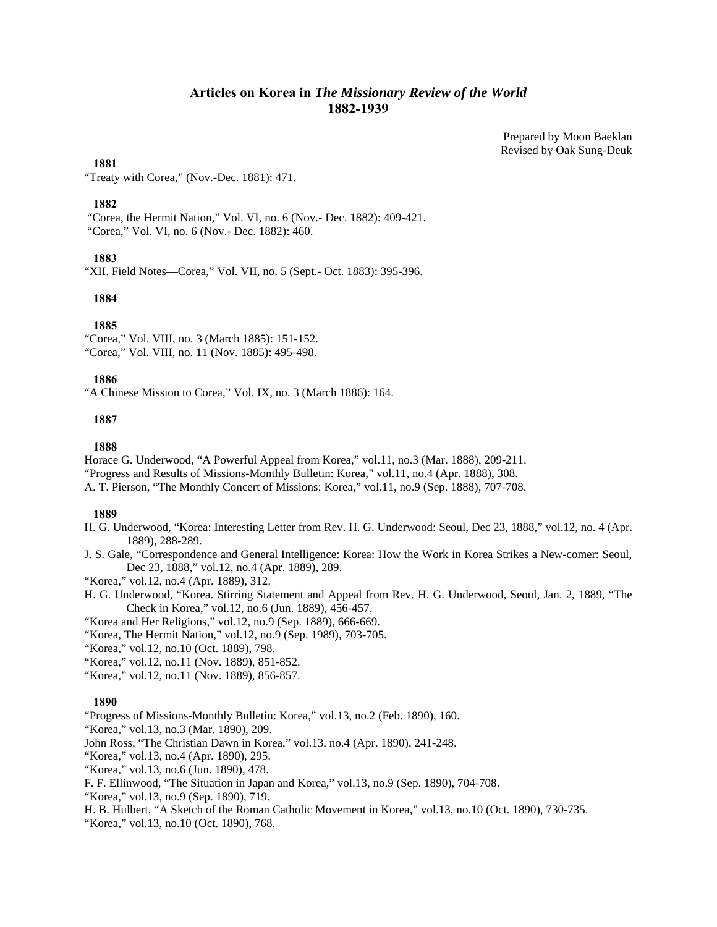# **Articles on Korea in** *The Missionary Review of the World* **1882-1939**

Prepared by Moon Baeklan Revised by Oak Sung-Deuk

## **1881**

"Treaty with Corea," (Nov.-Dec. 1881): 471.

#### **1882**

 "Corea, the Hermit Nation," Vol. VI, no. 6 (Nov.- Dec. 1882): 409-421. "Corea," Vol. VI, no. 6 (Nov.- Dec. 1882): 460.

# **1883**

"XII. Field Notes—Corea," Vol. VII, no. 5 (Sept.- Oct. 1883): 395-396.

### **1884**

#### **1885**

"Corea," Vol. VIII, no. 3 (March 1885): 151-152. "Corea," Vol. VIII, no. 11 (Nov. 1885): 495-498.

#### **1886**

"A Chinese Mission to Corea," Vol. IX, no. 3 (March 1886): 164.

## **1887**

#### **1888**

Horace G. Underwood, "A Powerful Appeal from Korea," vol.11, no.3 (Mar. 1888), 209-211.

"Progress and Results of Missions-Monthly Bulletin: Korea," vol.11, no.4 (Apr. 1888), 308.

A. T. Pierson, "The Monthly Concert of Missions: Korea," vol.11, no.9 (Sep. 1888), 707-708.

### **1889**

- H. G. Underwood, "Korea: Interesting Letter from Rev. H. G. Underwood: Seoul, Dec 23, 1888," vol.12, no. 4 (Apr. 1889), 288-289.
- J. S. Gale, "Correspondence and General Intelligence: Korea: How the Work in Korea Strikes a New-comer: Seoul, Dec 23, 1888," vol.12, no.4 (Apr. 1889), 289.
- "Korea," vol.12, no.4 (Apr. 1889), 312.
- H. G. Underwood, "Korea. Stirring Statement and Appeal from Rev. H. G. Underwood, Seoul, Jan. 2, 1889, "The Check in Korea," vol.12, no.6 (Jun. 1889), 456-457.
- "Korea and Her Religions," vol.12, no.9 (Sep. 1889), 666-669.
- "Korea, The Hermit Nation," vol.12, no.9 (Sep. 1989), 703-705.
- "Korea," vol.12, no.10 (Oct. 1889), 798.
- "Korea," vol.12, no.11 (Nov. 1889), 851-852.
- "Korea," vol.12, no.11 (Nov. 1889), 856-857.

## **1890**

"Progress of Missions-Monthly Bulletin: Korea," vol.13, no.2 (Feb. 1890), 160.

- "Korea," vol.13, no.3 (Mar. 1890), 209.
- John Ross, "The Christian Dawn in Korea," vol.13, no.4 (Apr. 1890), 241-248.
- "Korea," vol.13, no.4 (Apr. 1890), 295.
- "Korea," vol.13, no.6 (Jun. 1890), 478.
- F. F. Ellinwood, "The Situation in Japan and Korea," vol.13, no.9 (Sep. 1890), 704-708.
- "Korea," vol.13, no.9 (Sep. 1890), 719.
- H. B. Hulbert, "A Sketch of the Roman Catholic Movement in Korea," vol.13, no.10 (Oct. 1890), 730-735.

"Korea," vol.13, no.10 (Oct. 1890), 768.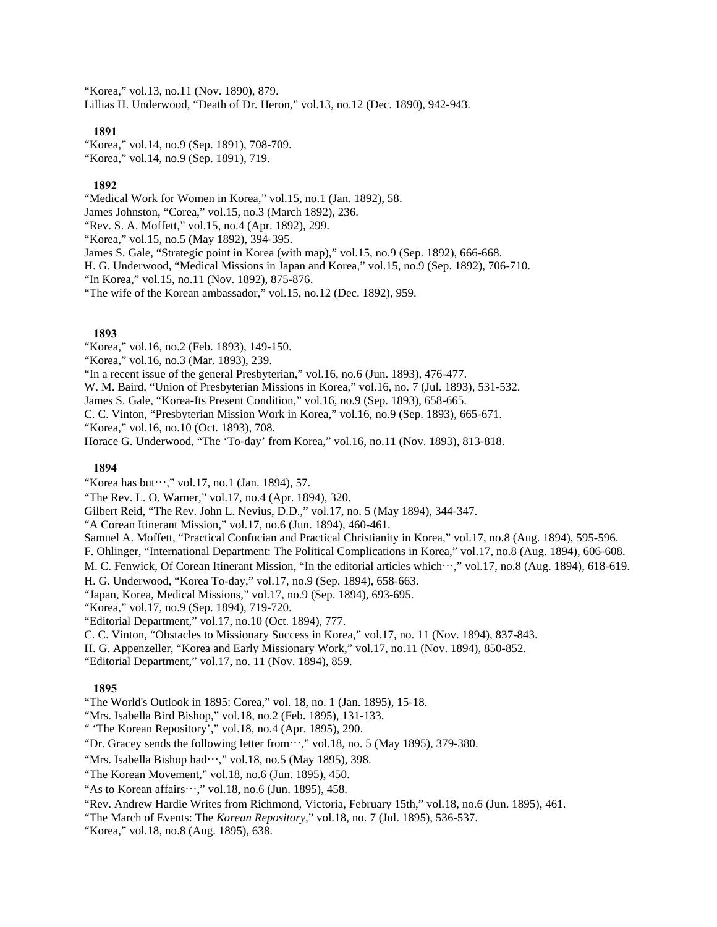"Korea," vol.13, no.11 (Nov. 1890), 879. Lillias H. Underwood, "Death of Dr. Heron," vol.13, no.12 (Dec. 1890), 942-943.

### **1891**

"Korea," vol.14, no.9 (Sep. 1891), 708-709. "Korea," vol.14, no.9 (Sep. 1891), 719.

# **1892**

"Medical Work for Women in Korea," vol.15, no.1 (Jan. 1892), 58. James Johnston, "Corea," vol.15, no.3 (March 1892), 236. "Rev. S. A. Moffett," vol.15, no.4 (Apr. 1892), 299. "Korea," vol.15, no.5 (May 1892), 394-395. James S. Gale, "Strategic point in Korea (with map)," vol.15, no.9 (Sep. 1892), 666-668. H. G. Underwood, "Medical Missions in Japan and Korea," vol.15, no.9 (Sep. 1892), 706-710.

"In Korea," vol.15, no.11 (Nov. 1892), 875-876.

"The wife of the Korean ambassador," vol.15, no.12 (Dec. 1892), 959.

#### **1893**

"Korea," vol.16, no.2 (Feb. 1893), 149-150.

"Korea," vol.16, no.3 (Mar. 1893), 239.

"In a recent issue of the general Presbyterian," vol.16, no.6 (Jun. 1893), 476-477.

W. M. Baird, "Union of Presbyterian Missions in Korea," vol.16, no. 7 (Jul. 1893), 531-532.

James S. Gale, "Korea-Its Present Condition," vol.16, no.9 (Sep. 1893), 658-665.

C. C. Vinton, "Presbyterian Mission Work in Korea," vol.16, no.9 (Sep. 1893), 665-671.

"Korea," vol.16, no.10 (Oct. 1893), 708.

Horace G. Underwood, "The 'To-day' from Korea," vol.16, no.11 (Nov. 1893), 813-818.

### **1894**

"Korea has but…," vol.17, no.1 (Jan. 1894), 57.

"The Rev. L. O. Warner," vol.17, no.4 (Apr. 1894), 320.

Gilbert Reid, "The Rev. John L. Nevius, D.D.," vol.17, no. 5 (May 1894), 344-347.

"A Corean Itinerant Mission," vol.17, no.6 (Jun. 1894), 460-461.

Samuel A. Moffett, "Practical Confucian and Practical Christianity in Korea," vol.17, no.8 (Aug. 1894), 595-596.

F. Ohlinger, "International Department: The Political Complications in Korea," vol.17, no.8 (Aug. 1894), 606-608.

M. C. Fenwick, Of Corean Itinerant Mission, "In the editorial articles which…," vol.17, no.8 (Aug. 1894), 618-619.

H. G. Underwood, "Korea To-day," vol.17, no.9 (Sep. 1894), 658-663.

"Japan, Korea, Medical Missions," vol.17, no.9 (Sep. 1894), 693-695.

"Korea," vol.17, no.9 (Sep. 1894), 719-720.

"Editorial Department," vol.17, no.10 (Oct. 1894), 777.

C. C. Vinton, "Obstacles to Missionary Success in Korea," vol.17, no. 11 (Nov. 1894), 837-843.

H. G. Appenzeller, "Korea and Early Missionary Work," vol.17, no.11 (Nov. 1894), 850-852.

"Editorial Department," vol.17, no. 11 (Nov. 1894), 859.

#### **1895**

"The World's Outlook in 1895: Corea," vol. 18, no. 1 (Jan. 1895), 15-18.

"Mrs. Isabella Bird Bishop," vol.18, no.2 (Feb. 1895), 131-133.

" 'The Korean Repository'," vol.18, no.4 (Apr. 1895), 290.

"Dr. Gracey sends the following letter from $\cdots$ ," vol.18, no. 5 (May 1895), 379-380.

"Mrs. Isabella Bishop had…," vol.18, no.5 (May 1895), 398.

"The Korean Movement," vol.18, no.6 (Jun. 1895), 450.

"As to Korean affairs $...,$ " vol.18, no.6 (Jun. 1895), 458.

"Rev. Andrew Hardie Writes from Richmond, Victoria, February 15th," vol.18, no.6 (Jun. 1895), 461.

"The March of Events: The *Korean Repository,*" vol.18, no. 7 (Jul. 1895), 536-537.

"Korea," vol.18, no.8 (Aug. 1895), 638.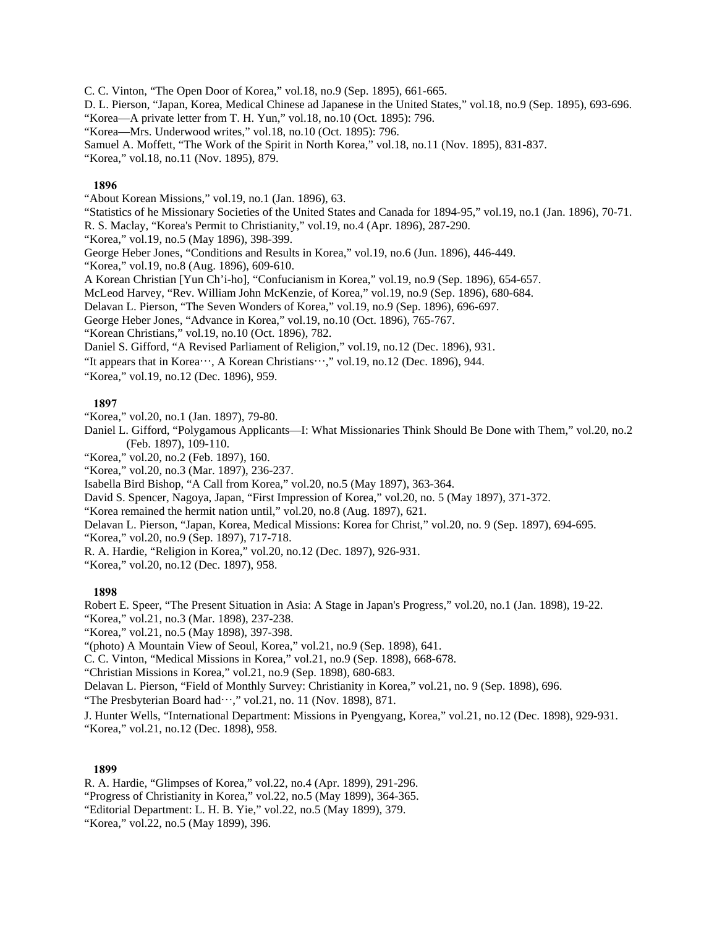C. C. Vinton, "The Open Door of Korea," vol.18, no.9 (Sep. 1895), 661-665.

D. L. Pierson, "Japan, Korea, Medical Chinese ad Japanese in the United States," vol.18, no.9 (Sep. 1895), 693-696.

"Korea—A private letter from T. H. Yun," vol.18, no.10 (Oct. 1895): 796.

"Korea—Mrs. Underwood writes," vol.18, no.10 (Oct. 1895): 796.

Samuel A. Moffett, "The Work of the Spirit in North Korea," vol.18, no.11 (Nov. 1895), 831-837.

"Korea," vol.18, no.11 (Nov. 1895), 879.

### **1896**

"About Korean Missions," vol.19, no.1 (Jan. 1896), 63.

"Statistics of he Missionary Societies of the United States and Canada for 1894-95," vol.19, no.1 (Jan. 1896), 70-71.

R. S. Maclay, "Korea's Permit to Christianity," vol.19, no.4 (Apr. 1896), 287-290.

"Korea," vol.19, no.5 (May 1896), 398-399.

George Heber Jones, "Conditions and Results in Korea," vol.19, no.6 (Jun. 1896), 446-449.

"Korea," vol.19, no.8 (Aug. 1896), 609-610.

A Korean Christian [Yun Ch'i-ho], "Confucianism in Korea," vol.19, no.9 (Sep. 1896), 654-657.

McLeod Harvey, "Rev. William John McKenzie, of Korea," vol.19, no.9 (Sep. 1896), 680-684.

Delavan L. Pierson, "The Seven Wonders of Korea," vol.19, no.9 (Sep. 1896), 696-697.

George Heber Jones, "Advance in Korea," vol.19, no.10 (Oct. 1896), 765-767.

"Korean Christians," vol.19, no.10 (Oct. 1896), 782.

Daniel S. Gifford, "A Revised Parliament of Religion," vol.19, no.12 (Dec. 1896), 931.

"It appears that in Korea…, A Korean Christians…," vol.19, no.12 (Dec. 1896), 944.

"Korea," vol.19, no.12 (Dec. 1896), 959.

#### **1897**

"Korea," vol.20, no.1 (Jan. 1897), 79-80.

Daniel L. Gifford, "Polygamous Applicants—I: What Missionaries Think Should Be Done with Them," vol.20, no.2 (Feb. 1897), 109-110.

"Korea," vol.20, no.2 (Feb. 1897), 160.

"Korea," vol.20, no.3 (Mar. 1897), 236-237.

Isabella Bird Bishop, "A Call from Korea," vol.20, no.5 (May 1897), 363-364.

David S. Spencer, Nagoya, Japan, "First Impression of Korea," vol.20, no. 5 (May 1897), 371-372.

"Korea remained the hermit nation until," vol.20, no.8 (Aug. 1897), 621.

Delavan L. Pierson, "Japan, Korea, Medical Missions: Korea for Christ," vol.20, no. 9 (Sep. 1897), 694-695.

"Korea," vol.20, no.9 (Sep. 1897), 717-718.

R. A. Hardie, "Religion in Korea," vol.20, no.12 (Dec. 1897), 926-931.

"Korea," vol.20, no.12 (Dec. 1897), 958.

### **1898**

Robert E. Speer, "The Present Situation in Asia: A Stage in Japan's Progress," vol.20, no.1 (Jan. 1898), 19-22.

"Korea," vol.21, no.3 (Mar. 1898), 237-238.

"Korea," vol.21, no.5 (May 1898), 397-398.

"(photo) A Mountain View of Seoul, Korea," vol.21, no.9 (Sep. 1898), 641.

C. C. Vinton, "Medical Missions in Korea," vol.21, no.9 (Sep. 1898), 668-678.

"Christian Missions in Korea," vol.21, no.9 (Sep. 1898), 680-683.

Delavan L. Pierson, "Field of Monthly Survey: Christianity in Korea," vol.21, no. 9 (Sep. 1898), 696.

"The Presbyterian Board had…," vol.21, no. 11 (Nov. 1898), 871.

J. Hunter Wells, "International Department: Missions in Pyengyang, Korea," vol.21, no.12 (Dec. 1898), 929-931. "Korea," vol.21, no.12 (Dec. 1898), 958.

#### **1899**

R. A. Hardie, "Glimpses of Korea," vol.22, no.4 (Apr. 1899), 291-296.

"Progress of Christianity in Korea," vol.22, no.5 (May 1899), 364-365.

"Editorial Department: L. H. B. Yie," vol.22, no.5 (May 1899), 379.

"Korea," vol.22, no.5 (May 1899), 396.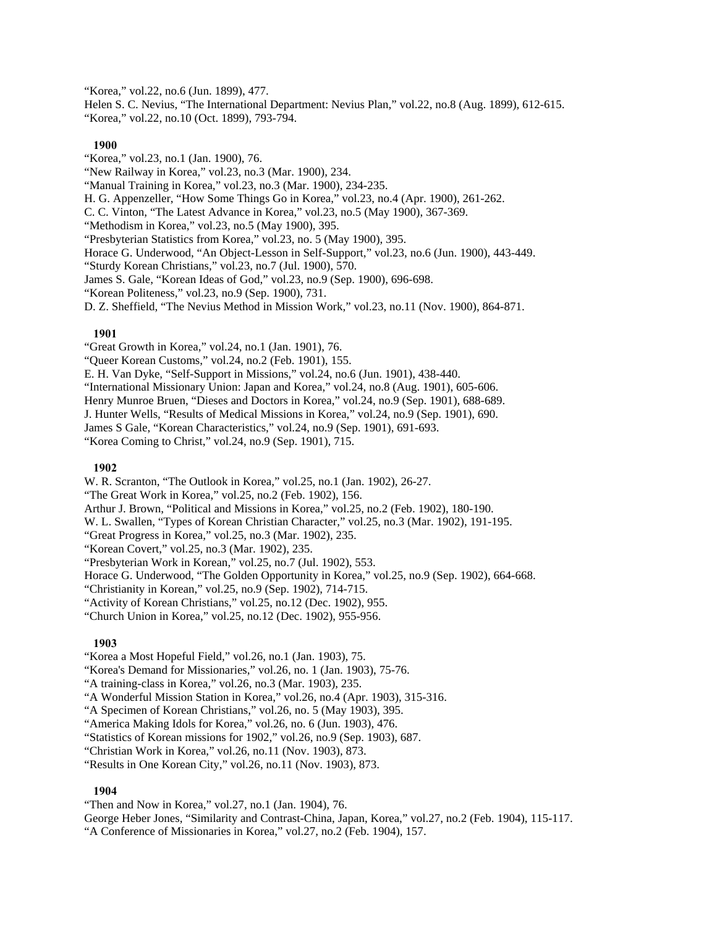"Korea," vol.22, no.6 (Jun. 1899), 477. Helen S. C. Nevius, "The International Department: Nevius Plan," vol.22, no.8 (Aug. 1899), 612-615. "Korea," vol.22, no.10 (Oct. 1899), 793-794.

### **1900**

"Korea," vol.23, no.1 (Jan. 1900), 76. "New Railway in Korea," vol.23, no.3 (Mar. 1900), 234. "Manual Training in Korea," vol.23, no.3 (Mar. 1900), 234-235. H. G. Appenzeller, "How Some Things Go in Korea," vol.23, no.4 (Apr. 1900), 261-262. C. C. Vinton, "The Latest Advance in Korea," vol.23, no.5 (May 1900), 367-369. "Methodism in Korea," vol.23, no.5 (May 1900), 395. "Presbyterian Statistics from Korea," vol.23, no. 5 (May 1900), 395. Horace G. Underwood, "An Object-Lesson in Self-Support," vol.23, no.6 (Jun. 1900), 443-449. "Sturdy Korean Christians," vol.23, no.7 (Jul. 1900), 570. James S. Gale, "Korean Ideas of God," vol.23, no.9 (Sep. 1900), 696-698. "Korean Politeness," vol.23, no.9 (Sep. 1900), 731. D. Z. Sheffield, "The Nevius Method in Mission Work," vol.23, no.11 (Nov. 1900), 864-871.

## **1901**

"Great Growth in Korea," vol.24, no.1 (Jan. 1901), 76.

"Queer Korean Customs," vol.24, no.2 (Feb. 1901), 155.

E. H. Van Dyke, "Self-Support in Missions," vol.24, no.6 (Jun. 1901), 438-440.

"International Missionary Union: Japan and Korea," vol.24, no.8 (Aug. 1901), 605-606.

Henry Munroe Bruen, "Dieses and Doctors in Korea," vol.24, no.9 (Sep. 1901), 688-689.

J. Hunter Wells, "Results of Medical Missions in Korea," vol.24, no.9 (Sep. 1901), 690.

James S Gale, "Korean Characteristics," vol.24, no.9 (Sep. 1901), 691-693.

"Korea Coming to Christ," vol.24, no.9 (Sep. 1901), 715.

#### **1902**

W. R. Scranton, "The Outlook in Korea," vol.25, no.1 (Jan. 1902), 26-27.

"The Great Work in Korea," vol.25, no.2 (Feb. 1902), 156.

Arthur J. Brown, "Political and Missions in Korea," vol.25, no.2 (Feb. 1902), 180-190.

W. L. Swallen, "Types of Korean Christian Character," vol.25, no.3 (Mar. 1902), 191-195.

"Great Progress in Korea," vol.25, no.3 (Mar. 1902), 235.

"Korean Covert," vol.25, no.3 (Mar. 1902), 235.

"Presbyterian Work in Korean," vol.25, no.7 (Jul. 1902), 553.

Horace G. Underwood, "The Golden Opportunity in Korea," vol.25, no.9 (Sep. 1902), 664-668.

"Christianity in Korean," vol.25, no.9 (Sep. 1902), 714-715.

"Activity of Korean Christians," vol.25, no.12 (Dec. 1902), 955.

"Church Union in Korea," vol.25, no.12 (Dec. 1902), 955-956.

# **1903**

"Korea a Most Hopeful Field," vol.26, no.1 (Jan. 1903), 75.

"Korea's Demand for Missionaries," vol.26, no. 1 (Jan. 1903), 75-76.

"A training-class in Korea," vol.26, no.3 (Mar. 1903), 235.

"A Wonderful Mission Station in Korea," vol.26, no.4 (Apr. 1903), 315-316.

"A Specimen of Korean Christians," vol.26, no. 5 (May 1903), 395.

"America Making Idols for Korea," vol.26, no. 6 (Jun. 1903), 476.

"Statistics of Korean missions for 1902," vol.26, no.9 (Sep. 1903), 687.

"Christian Work in Korea," vol.26, no.11 (Nov. 1903), 873.

"Results in One Korean City," vol.26, no.11 (Nov. 1903), 873.

# **1904**

"Then and Now in Korea," vol.27, no.1 (Jan. 1904), 76. George Heber Jones, "Similarity and Contrast-China, Japan, Korea," vol.27, no.2 (Feb. 1904), 115-117. "A Conference of Missionaries in Korea," vol.27, no.2 (Feb. 1904), 157.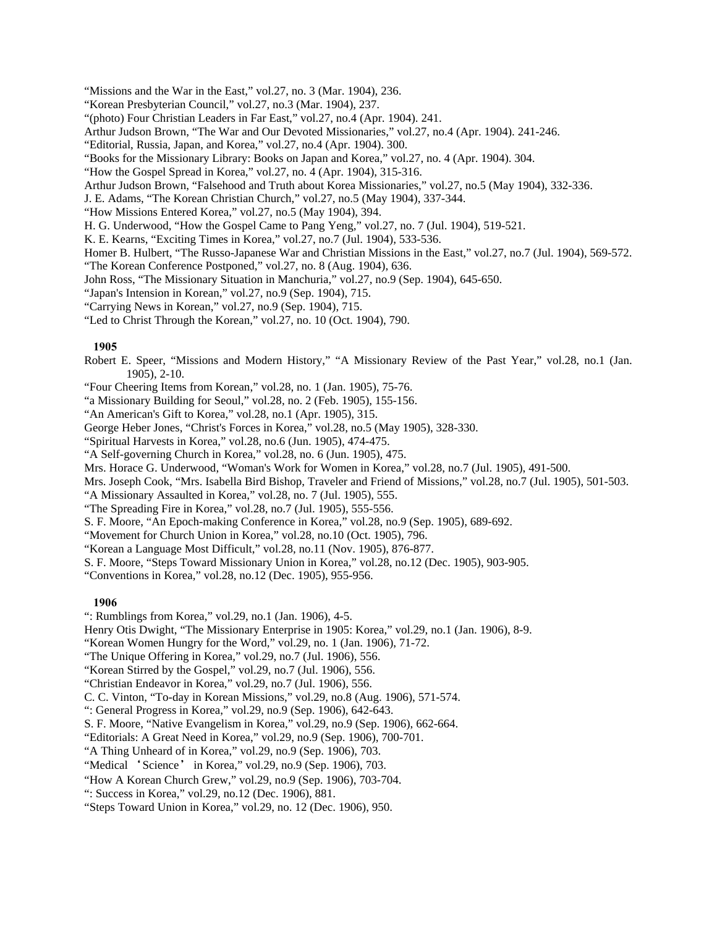"Missions and the War in the East," vol.27, no. 3 (Mar. 1904), 236.

"Korean Presbyterian Council," vol.27, no.3 (Mar. 1904), 237.

"(photo) Four Christian Leaders in Far East," vol.27, no.4 (Apr. 1904). 241.

Arthur Judson Brown, "The War and Our Devoted Missionaries," vol.27, no.4 (Apr. 1904). 241-246.

"Editorial, Russia, Japan, and Korea," vol.27, no.4 (Apr. 1904). 300.

"Books for the Missionary Library: Books on Japan and Korea," vol.27, no. 4 (Apr. 1904). 304.

"How the Gospel Spread in Korea," vol.27, no. 4 (Apr. 1904), 315-316.

Arthur Judson Brown, "Falsehood and Truth about Korea Missionaries," vol.27, no.5 (May 1904), 332-336.

J. E. Adams, "The Korean Christian Church," vol.27, no.5 (May 1904), 337-344.

"How Missions Entered Korea," vol.27, no.5 (May 1904), 394.

H. G. Underwood, "How the Gospel Came to Pang Yeng," vol.27, no. 7 (Jul. 1904), 519-521.

K. E. Kearns, "Exciting Times in Korea," vol.27, no.7 (Jul. 1904), 533-536.

Homer B. Hulbert, "The Russo-Japanese War and Christian Missions in the East," vol.27, no.7 (Jul. 1904), 569-572.

"The Korean Conference Postponed," vol.27, no. 8 (Aug. 1904), 636.

John Ross, "The Missionary Situation in Manchuria," vol.27, no.9 (Sep. 1904), 645-650.

"Japan's Intension in Korean," vol.27, no.9 (Sep. 1904), 715.

"Carrying News in Korean," vol.27, no.9 (Sep. 1904), 715.

"Led to Christ Through the Korean," vol.27, no. 10 (Oct. 1904), 790.

### **1905**

Robert E. Speer, "Missions and Modern History," "A Missionary Review of the Past Year," vol.28, no.1 (Jan. 1905), 2-10.

"Four Cheering Items from Korean," vol.28, no. 1 (Jan. 1905), 75-76.

"a Missionary Building for Seoul," vol.28, no. 2 (Feb. 1905), 155-156.

"An American's Gift to Korea," vol.28, no.1 (Apr. 1905), 315.

George Heber Jones, "Christ's Forces in Korea," vol.28, no.5 (May 1905), 328-330.

"Spiritual Harvests in Korea," vol.28, no.6 (Jun. 1905), 474-475.

"A Self-governing Church in Korea," vol.28, no. 6 (Jun. 1905), 475.

Mrs. Horace G. Underwood, "Woman's Work for Women in Korea," vol.28, no.7 (Jul. 1905), 491-500.

Mrs. Joseph Cook, "Mrs. Isabella Bird Bishop, Traveler and Friend of Missions," vol.28, no.7 (Jul. 1905), 501-503.

"A Missionary Assaulted in Korea," vol.28, no. 7 (Jul. 1905), 555.

"The Spreading Fire in Korea," vol.28, no.7 (Jul. 1905), 555-556.

S. F. Moore, "An Epoch-making Conference in Korea," vol.28, no.9 (Sep. 1905), 689-692.

"Movement for Church Union in Korea," vol.28, no.10 (Oct. 1905), 796.

"Korean a Language Most Difficult," vol.28, no.11 (Nov. 1905), 876-877.

S. F. Moore, "Steps Toward Missionary Union in Korea," vol.28, no.12 (Dec. 1905), 903-905.

"Conventions in Korea," vol.28, no.12 (Dec. 1905), 955-956.

#### **1906**

": Rumblings from Korea," vol.29, no.1 (Jan. 1906), 4-5.

Henry Otis Dwight, "The Missionary Enterprise in 1905: Korea," vol.29, no.1 (Jan. 1906), 8-9.

"Korean Women Hungry for the Word," vol.29, no. 1 (Jan. 1906), 71-72.

"The Unique Offering in Korea," vol.29, no.7 (Jul. 1906), 556.

"Korean Stirred by the Gospel," vol.29, no.7 (Jul. 1906), 556.

"Christian Endeavor in Korea," vol.29, no.7 (Jul. 1906), 556.

C. C. Vinton, "To-day in Korean Missions," vol.29, no.8 (Aug. 1906), 571-574.

": General Progress in Korea," vol.29, no.9 (Sep. 1906), 642-643.

S. F. Moore, "Native Evangelism in Korea," vol.29, no.9 (Sep. 1906), 662-664.

"Editorials: A Great Need in Korea," vol.29, no.9 (Sep. 1906), 700-701.

"A Thing Unheard of in Korea," vol.29, no.9 (Sep. 1906), 703.

"Medical 'Science' in Korea," vol.29, no.9 (Sep. 1906), 703.

"How A Korean Church Grew," vol.29, no.9 (Sep. 1906), 703-704.

": Success in Korea," vol.29, no.12 (Dec. 1906), 881.

"Steps Toward Union in Korea," vol.29, no. 12 (Dec. 1906), 950.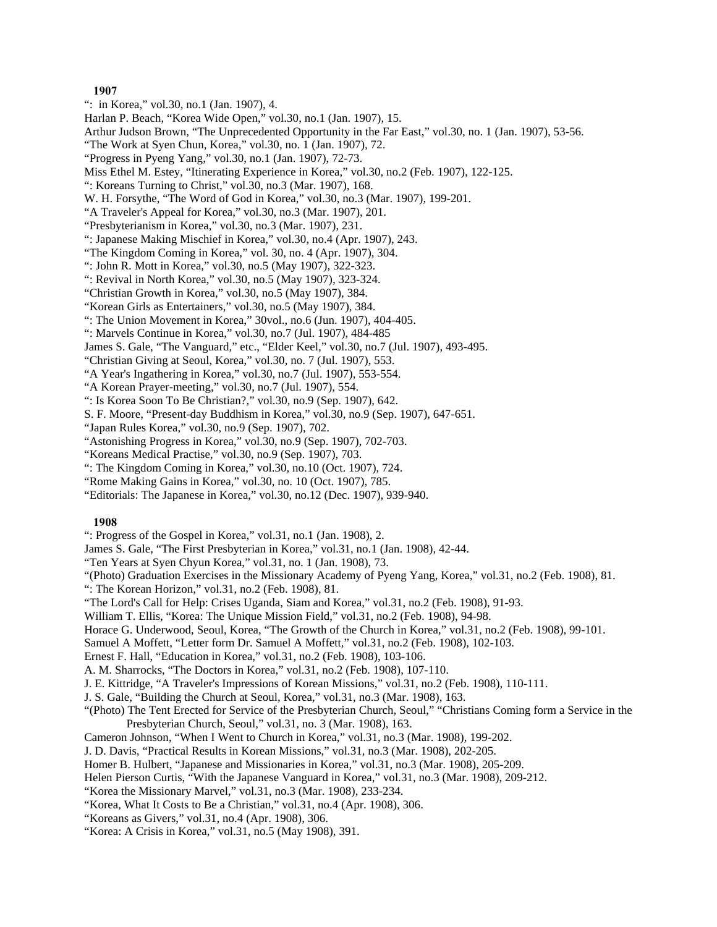### **1907**

": in Korea," vol.30, no.1 (Jan. 1907), 4.

Harlan P. Beach, "Korea Wide Open," vol.30, no.1 (Jan. 1907), 15.

Arthur Judson Brown, "The Unprecedented Opportunity in the Far East," vol.30, no. 1 (Jan. 1907), 53-56.

"The Work at Syen Chun, Korea," vol.30, no. 1 (Jan. 1907), 72.

"Progress in Pyeng Yang," vol.30, no.1 (Jan. 1907), 72-73.

Miss Ethel M. Estey, "Itinerating Experience in Korea," vol.30, no.2 (Feb. 1907), 122-125.

": Koreans Turning to Christ," vol.30, no.3 (Mar. 1907), 168.

W. H. Forsythe, "The Word of God in Korea," vol.30, no.3 (Mar. 1907), 199-201.

"A Traveler's Appeal for Korea," vol.30, no.3 (Mar. 1907), 201.

"Presbyterianism in Korea," vol.30, no.3 (Mar. 1907), 231.

": Japanese Making Mischief in Korea," vol.30, no.4 (Apr. 1907), 243.

"The Kingdom Coming in Korea," vol. 30, no. 4 (Apr. 1907), 304.

": John R. Mott in Korea," vol.30, no.5 (May 1907), 322-323.

": Revival in North Korea," vol.30, no.5 (May 1907), 323-324.

"Christian Growth in Korea," vol.30, no.5 (May 1907), 384.

"Korean Girls as Entertainers," vol.30, no.5 (May 1907), 384.

": The Union Movement in Korea," 30vol., no.6 (Jun. 1907), 404-405.

": Marvels Continue in Korea," vol.30, no.7 (Jul. 1907), 484-485

James S. Gale, "The Vanguard," etc., "Elder Keel," vol.30, no.7 (Jul. 1907), 493-495.

"Christian Giving at Seoul, Korea," vol.30, no. 7 (Jul. 1907), 553.

"A Year's Ingathering in Korea," vol.30, no.7 (Jul. 1907), 553-554.

"A Korean Prayer-meeting," vol.30, no.7 (Jul. 1907), 554.

": Is Korea Soon To Be Christian?," vol.30, no.9 (Sep. 1907), 642.

S. F. Moore, "Present-day Buddhism in Korea," vol.30, no.9 (Sep. 1907), 647-651.

"Japan Rules Korea," vol.30, no.9 (Sep. 1907), 702.

"Astonishing Progress in Korea," vol.30, no.9 (Sep. 1907), 702-703.

"Koreans Medical Practise," vol.30, no.9 (Sep. 1907), 703.

": The Kingdom Coming in Korea," vol.30, no.10 (Oct. 1907), 724.

"Rome Making Gains in Korea," vol.30, no. 10 (Oct. 1907), 785.

"Editorials: The Japanese in Korea," vol.30, no.12 (Dec. 1907), 939-940.

### **1908**

": Progress of the Gospel in Korea," vol.31, no.1 (Jan. 1908), 2.

James S. Gale, "The First Presbyterian in Korea," vol.31, no.1 (Jan. 1908), 42-44.

"Ten Years at Syen Chyun Korea," vol.31, no. 1 (Jan. 1908), 73.

"(Photo) Graduation Exercises in the Missionary Academy of Pyeng Yang, Korea," vol.31, no.2 (Feb. 1908), 81.

": The Korean Horizon," vol.31, no.2 (Feb. 1908), 81.

"The Lord's Call for Help: Crises Uganda, Siam and Korea," vol.31, no.2 (Feb. 1908), 91-93.

William T. Ellis, "Korea: The Unique Mission Field," vol.31, no.2 (Feb. 1908), 94-98.

Horace G. Underwood, Seoul, Korea, "The Growth of the Church in Korea," vol.31, no.2 (Feb. 1908), 99-101.

Samuel A Moffett, "Letter form Dr. Samuel A Moffett," vol.31, no.2 (Feb. 1908), 102-103.

Ernest F. Hall, "Education in Korea," vol.31, no.2 (Feb. 1908), 103-106.

A. M. Sharrocks, "The Doctors in Korea," vol.31, no.2 (Feb. 1908), 107-110.

J. E. Kittridge, "A Traveler's Impressions of Korean Missions," vol.31, no.2 (Feb. 1908), 110-111.

J. S. Gale, "Building the Church at Seoul, Korea," vol.31, no.3 (Mar. 1908), 163.

"(Photo) The Tent Erected for Service of the Presbyterian Church, Seoul," "Christians Coming form a Service in the Presbyterian Church, Seoul," vol.31, no. 3 (Mar. 1908), 163.

Cameron Johnson, "When I Went to Church in Korea," vol.31, no.3 (Mar. 1908), 199-202.

J. D. Davis, "Practical Results in Korean Missions," vol.31, no.3 (Mar. 1908), 202-205.

Homer B. Hulbert, "Japanese and Missionaries in Korea," vol.31, no.3 (Mar. 1908), 205-209.

Helen Pierson Curtis, "With the Japanese Vanguard in Korea," vol.31, no.3 (Mar. 1908), 209-212.

"Korea the Missionary Marvel," vol.31, no.3 (Mar. 1908), 233-234.

"Korea, What It Costs to Be a Christian," vol.31, no.4 (Apr. 1908), 306.

"Koreans as Givers," vol.31, no.4 (Apr. 1908), 306.

"Korea: A Crisis in Korea," vol.31, no.5 (May 1908), 391.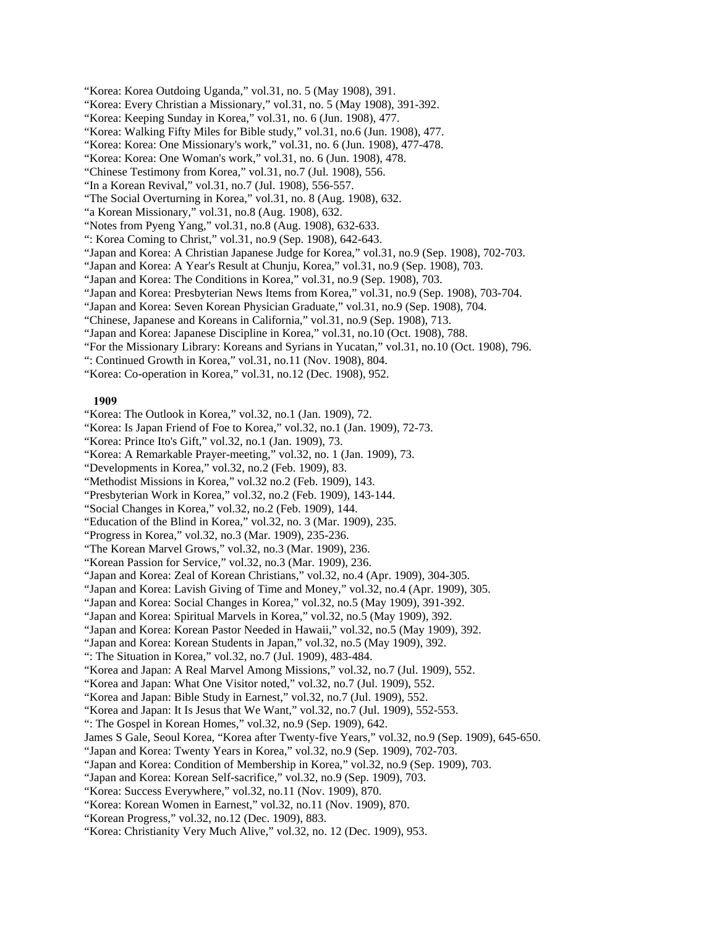"Korea: Korea Outdoing Uganda," vol.31, no. 5 (May 1908), 391.

"Korea: Every Christian a Missionary," vol.31, no. 5 (May 1908), 391-392.

"Korea: Keeping Sunday in Korea," vol.31, no. 6 (Jun. 1908), 477.

"Korea: Walking Fifty Miles for Bible study," vol.31, no.6 (Jun. 1908), 477.

"Korea: Korea: One Missionary's work," vol.31, no. 6 (Jun. 1908), 477-478.

"Korea: Korea: One Woman's work," vol.31, no. 6 (Jun. 1908), 478.

"Chinese Testimony from Korea," vol.31, no.7 (Jul. 1908), 556.

"In a Korean Revival," vol.31, no.7 (Jul. 1908), 556-557.

"The Social Overturning in Korea," vol.31, no. 8 (Aug. 1908), 632.

"a Korean Missionary," vol.31, no.8 (Aug. 1908), 632.

"Notes from Pyeng Yang," vol.31, no.8 (Aug. 1908), 632-633.

": Korea Coming to Christ," vol.31, no.9 (Sep. 1908), 642-643.

"Japan and Korea: A Christian Japanese Judge for Korea," vol.31, no.9 (Sep. 1908), 702-703.

"Japan and Korea: A Year's Result at Chunju, Korea," vol.31, no.9 (Sep. 1908), 703.

"Japan and Korea: The Conditions in Korea," vol.31, no.9 (Sep. 1908), 703.

"Japan and Korea: Presbyterian News Items from Korea," vol.31, no.9 (Sep. 1908), 703-704.

"Japan and Korea: Seven Korean Physician Graduate," vol.31, no.9 (Sep. 1908), 704.

"Chinese, Japanese and Koreans in California," vol.31, no.9 (Sep. 1908), 713.

"Japan and Korea: Japanese Discipline in Korea," vol.31, no.10 (Oct. 1908), 788.

"For the Missionary Library: Koreans and Syrians in Yucatan," vol.31, no.10 (Oct. 1908), 796.

": Continued Growth in Korea," vol.31, no.11 (Nov. 1908), 804.

"Korea: Co-operation in Korea," vol.31, no.12 (Dec. 1908), 952.

# **1909**

"Korea: The Outlook in Korea," vol.32, no.1 (Jan. 1909), 72.

"Korea: Is Japan Friend of Foe to Korea," vol.32, no.1 (Jan. 1909), 72-73.

"Korea: Prince Ito's Gift," vol.32, no.1 (Jan. 1909), 73.

"Korea: A Remarkable Prayer-meeting," vol.32, no. 1 (Jan. 1909), 73.

"Developments in Korea," vol.32, no.2 (Feb. 1909), 83.

"Methodist Missions in Korea," vol.32 no.2 (Feb. 1909), 143.

"Presbyterian Work in Korea," vol.32, no.2 (Feb. 1909), 143-144.

"Social Changes in Korea," vol.32, no.2 (Feb. 1909), 144.

"Education of the Blind in Korea," vol.32, no. 3 (Mar. 1909), 235.

"Progress in Korea," vol.32, no.3 (Mar. 1909), 235-236.

"The Korean Marvel Grows," vol.32, no.3 (Mar. 1909), 236.

"Korean Passion for Service," vol.32, no.3 (Mar. 1909), 236.

"Japan and Korea: Zeal of Korean Christians," vol.32, no.4 (Apr. 1909), 304-305.

"Japan and Korea: Lavish Giving of Time and Money," vol.32, no.4 (Apr. 1909), 305.

"Japan and Korea: Social Changes in Korea," vol.32, no.5 (May 1909), 391-392.

"Japan and Korea: Spiritual Marvels in Korea," vol.32, no.5 (May 1909), 392.

"Japan and Korea: Korean Pastor Needed in Hawaii," vol.32, no.5 (May 1909), 392.

"Japan and Korea: Korean Students in Japan," vol.32, no.5 (May 1909), 392.

": The Situation in Korea," vol.32, no.7 (Jul. 1909), 483-484.

"Korea and Japan: A Real Marvel Among Missions," vol.32, no.7 (Jul. 1909), 552.

"Korea and Japan: What One Visitor noted," vol.32, no.7 (Jul. 1909), 552.

"Korea and Japan: Bible Study in Earnest," vol.32, no.7 (Jul. 1909), 552.

"Korea and Japan: It Is Jesus that We Want," vol.32, no.7 (Jul. 1909), 552-553.

": The Gospel in Korean Homes," vol.32, no.9 (Sep. 1909), 642.

James S Gale, Seoul Korea, "Korea after Twenty-five Years," vol.32, no.9 (Sep. 1909), 645-650.

"Japan and Korea: Twenty Years in Korea," vol.32, no.9 (Sep. 1909), 702-703.

"Japan and Korea: Condition of Membership in Korea," vol.32, no.9 (Sep. 1909), 703.

"Japan and Korea: Korean Self-sacrifice," vol.32, no.9 (Sep. 1909), 703.

"Korea: Success Everywhere," vol.32, no.11 (Nov. 1909), 870.

"Korea: Korean Women in Earnest," vol.32, no.11 (Nov. 1909), 870.

"Korean Progress," vol.32, no.12 (Dec. 1909), 883.

"Korea: Christianity Very Much Alive," vol.32, no. 12 (Dec. 1909), 953.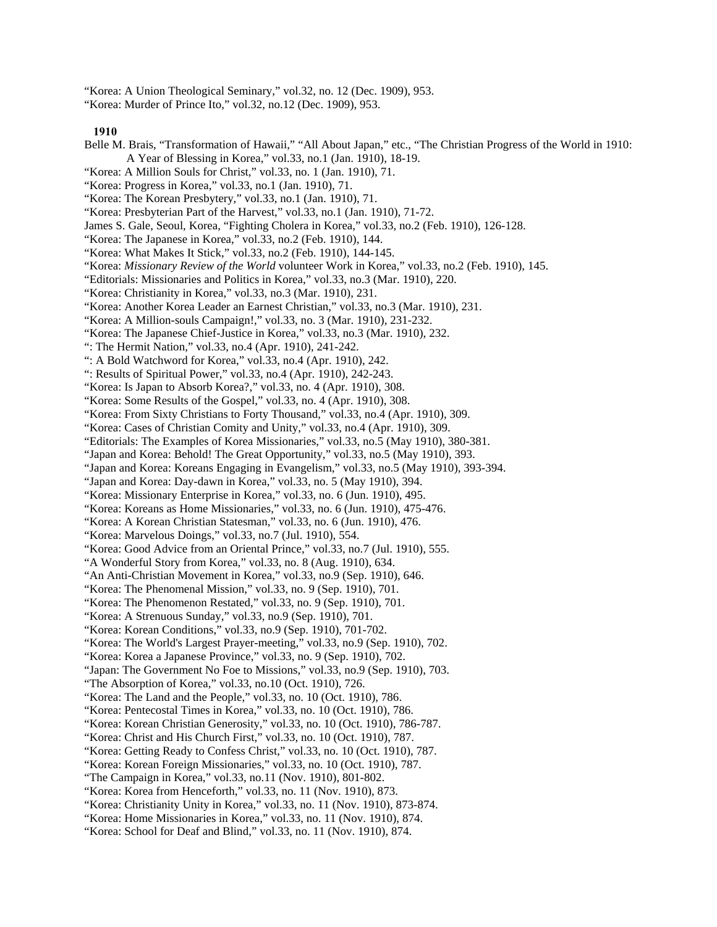"Korea: A Union Theological Seminary," vol.32, no. 12 (Dec. 1909), 953. "Korea: Murder of Prince Ito," vol.32, no.12 (Dec. 1909), 953.

# **1910**

Belle M. Brais, "Transformation of Hawaii," "All About Japan," etc., "The Christian Progress of the World in 1910: A Year of Blessing in Korea," vol.33, no.1 (Jan. 1910), 18-19. "Korea: A Million Souls for Christ," vol.33, no. 1 (Jan. 1910), 71. "Korea: Progress in Korea," vol.33, no.1 (Jan. 1910), 71. "Korea: The Korean Presbytery," vol.33, no.1 (Jan. 1910), 71. "Korea: Presbyterian Part of the Harvest," vol.33, no.1 (Jan. 1910), 71-72. James S. Gale, Seoul, Korea, "Fighting Cholera in Korea," vol.33, no.2 (Feb. 1910), 126-128. "Korea: The Japanese in Korea," vol.33, no.2 (Feb. 1910), 144. "Korea: What Makes It Stick," vol.33, no.2 (Feb. 1910), 144-145. "Korea: *Missionary Review of the World* volunteer Work in Korea," vol.33, no.2 (Feb. 1910), 145. "Editorials: Missionaries and Politics in Korea," vol.33, no.3 (Mar. 1910), 220. "Korea: Christianity in Korea," vol.33, no.3 (Mar. 1910), 231. "Korea: Another Korea Leader an Earnest Christian," vol.33, no.3 (Mar. 1910), 231. "Korea: A Million-souls Campaign!," vol.33, no. 3 (Mar. 1910), 231-232. "Korea: The Japanese Chief-Justice in Korea," vol.33, no.3 (Mar. 1910), 232. ": The Hermit Nation," vol.33, no.4 (Apr. 1910), 241-242. ": A Bold Watchword for Korea," vol.33, no.4 (Apr. 1910), 242. ": Results of Spiritual Power," vol.33, no.4 (Apr. 1910), 242-243. "Korea: Is Japan to Absorb Korea?," vol.33, no. 4 (Apr. 1910), 308. "Korea: Some Results of the Gospel," vol.33, no. 4 (Apr. 1910), 308. "Korea: From Sixty Christians to Forty Thousand," vol.33, no.4 (Apr. 1910), 309. "Korea: Cases of Christian Comity and Unity," vol.33, no.4 (Apr. 1910), 309. "Editorials: The Examples of Korea Missionaries," vol.33, no.5 (May 1910), 380-381. "Japan and Korea: Behold! The Great Opportunity," vol.33, no.5 (May 1910), 393. "Japan and Korea: Koreans Engaging in Evangelism," vol.33, no.5 (May 1910), 393-394. "Japan and Korea: Day-dawn in Korea," vol.33, no. 5 (May 1910), 394. "Korea: Missionary Enterprise in Korea," vol.33, no. 6 (Jun. 1910), 495. "Korea: Koreans as Home Missionaries," vol.33, no. 6 (Jun. 1910), 475-476. "Korea: A Korean Christian Statesman," vol.33, no. 6 (Jun. 1910), 476. "Korea: Marvelous Doings," vol.33, no.7 (Jul. 1910), 554. "Korea: Good Advice from an Oriental Prince," vol.33, no.7 (Jul. 1910), 555. "A Wonderful Story from Korea," vol.33, no. 8 (Aug. 1910), 634. "An Anti-Christian Movement in Korea," vol.33, no.9 (Sep. 1910), 646. "Korea: The Phenomenal Mission," vol.33, no. 9 (Sep. 1910), 701. "Korea: The Phenomenon Restated," vol.33, no. 9 (Sep. 1910), 701. "Korea: A Strenuous Sunday," vol.33, no.9 (Sep. 1910), 701. "Korea: Korean Conditions," vol.33, no.9 (Sep. 1910), 701-702. "Korea: The World's Largest Prayer-meeting," vol.33, no.9 (Sep. 1910), 702. "Korea: Korea a Japanese Province," vol.33, no. 9 (Sep. 1910), 702. "Japan: The Government No Foe to Missions," vol.33, no.9 (Sep. 1910), 703. "The Absorption of Korea," vol.33, no.10 (Oct. 1910), 726. "Korea: The Land and the People," vol.33, no. 10 (Oct. 1910), 786. "Korea: Pentecostal Times in Korea," vol.33, no. 10 (Oct. 1910), 786. "Korea: Korean Christian Generosity," vol.33, no. 10 (Oct. 1910), 786-787. "Korea: Christ and His Church First," vol.33, no. 10 (Oct. 1910), 787. "Korea: Getting Ready to Confess Christ," vol.33, no. 10 (Oct. 1910), 787. "Korea: Korean Foreign Missionaries," vol.33, no. 10 (Oct. 1910), 787. "The Campaign in Korea," vol.33, no.11 (Nov. 1910), 801-802. "Korea: Korea from Henceforth," vol.33, no. 11 (Nov. 1910), 873. "Korea: Christianity Unity in Korea," vol.33, no. 11 (Nov. 1910), 873-874. "Korea: Home Missionaries in Korea," vol.33, no. 11 (Nov. 1910), 874. "Korea: School for Deaf and Blind," vol.33, no. 11 (Nov. 1910), 874.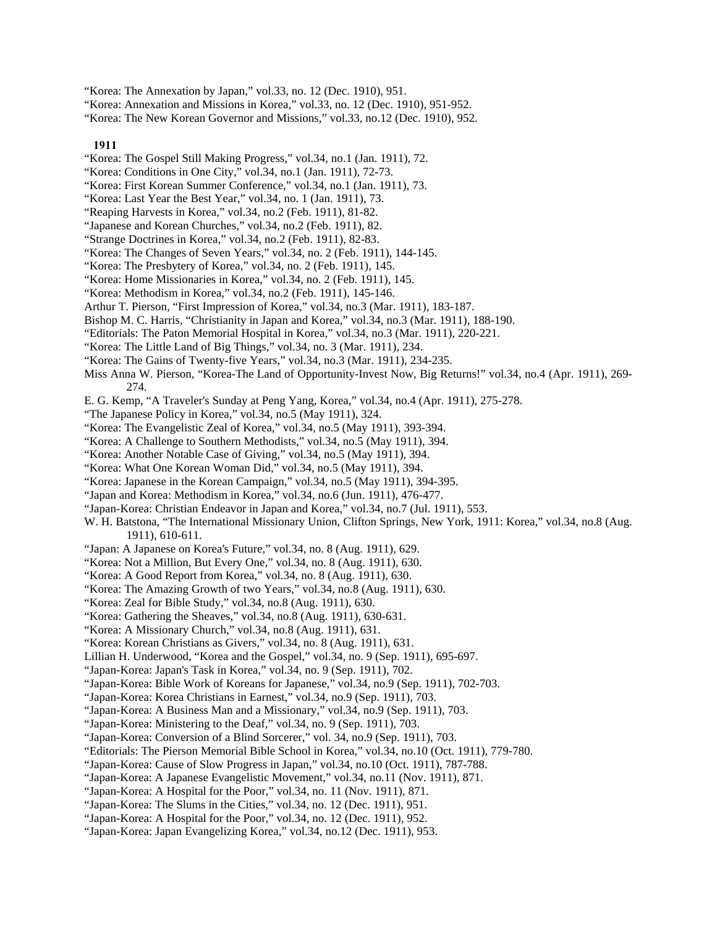"Korea: The Annexation by Japan," vol.33, no. 12 (Dec. 1910), 951.

"Korea: Annexation and Missions in Korea," vol.33, no. 12 (Dec. 1910), 951-952.

"Korea: The New Korean Governor and Missions," vol.33, no.12 (Dec. 1910), 952.

- "Korea: The Gospel Still Making Progress," vol.34, no.1 (Jan. 1911), 72.
- "Korea: Conditions in One City," vol.34, no.1 (Jan. 1911), 72-73.
- "Korea: First Korean Summer Conference," vol.34, no.1 (Jan. 1911), 73.
- "Korea: Last Year the Best Year," vol.34, no. 1 (Jan. 1911), 73.
- "Reaping Harvests in Korea," vol.34, no.2 (Feb. 1911), 81-82.
- "Japanese and Korean Churches," vol.34, no.2 (Feb. 1911), 82.
- "Strange Doctrines in Korea," vol.34, no.2 (Feb. 1911), 82-83.
- "Korea: The Changes of Seven Years," vol.34, no. 2 (Feb. 1911), 144-145.
- "Korea: The Presbytery of Korea," vol.34, no. 2 (Feb. 1911), 145.
- "Korea: Home Missionaries in Korea," vol.34, no. 2 (Feb. 1911), 145.
- "Korea: Methodism in Korea," vol.34, no.2 (Feb. 1911), 145-146.
- Arthur T. Pierson, "First Impression of Korea," vol.34, no.3 (Mar. 1911), 183-187.
- Bishop M. C. Harris, "Christianity in Japan and Korea," vol.34, no.3 (Mar. 1911), 188-190.
- "Editorials: The Paton Memorial Hospital in Korea," vol.34, no.3 (Mar. 1911), 220-221.
- "Korea: The Little Land of Big Things," vol.34, no. 3 (Mar. 1911), 234.
- "Korea: The Gains of Twenty-five Years," vol.34, no.3 (Mar. 1911), 234-235.
- Miss Anna W. Pierson, "Korea-The Land of Opportunity-Invest Now, Big Returns!" vol.34, no.4 (Apr. 1911), 269- 274.
- E. G. Kemp, "A Traveler's Sunday at Peng Yang, Korea," vol.34, no.4 (Apr. 1911), 275-278.
- "The Japanese Policy in Korea," vol.34, no.5 (May 1911), 324.
- "Korea: The Evangelistic Zeal of Korea," vol.34, no.5 (May 1911), 393-394.
- "Korea: A Challenge to Southern Methodists," vol.34, no.5 (May 1911), 394.
- "Korea: Another Notable Case of Giving," vol.34, no.5 (May 1911), 394.
- "Korea: What One Korean Woman Did," vol.34, no.5 (May 1911), 394.
- "Korea: Japanese in the Korean Campaign," vol.34, no.5 (May 1911), 394-395.
- "Japan and Korea: Methodism in Korea," vol.34, no.6 (Jun. 1911), 476-477.
- "Japan-Korea: Christian Endeavor in Japan and Korea," vol.34, no.7 (Jul. 1911), 553.
- W. H. Batstona, "The International Missionary Union, Clifton Springs, New York, 1911: Korea," vol.34, no.8 (Aug. 1911), 610-611.
- "Japan: A Japanese on Korea's Future," vol.34, no. 8 (Aug. 1911), 629.
- "Korea: Not a Million, But Every One," vol.34, no. 8 (Aug. 1911), 630.
- "Korea: A Good Report from Korea," vol.34, no. 8 (Aug. 1911), 630.
- "Korea: The Amazing Growth of two Years," vol.34, no.8 (Aug. 1911), 630.
- "Korea: Zeal for Bible Study," vol.34, no.8 (Aug. 1911), 630.
- "Korea: Gathering the Sheaves," vol.34, no.8 (Aug. 1911), 630-631.
- "Korea: A Missionary Church," vol.34, no.8 (Aug. 1911), 631.
- "Korea: Korean Christians as Givers," vol.34, no. 8 (Aug. 1911), 631.
- Lillian H. Underwood, "Korea and the Gospel," vol.34, no. 9 (Sep. 1911), 695-697.
- "Japan-Korea: Japan's Task in Korea," vol.34, no. 9 (Sep. 1911), 702.
- "Japan-Korea: Bible Work of Koreans for Japanese," vol.34, no.9 (Sep. 1911), 702-703.
- "Japan-Korea: Korea Christians in Earnest," vol.34, no.9 (Sep. 1911), 703.
- "Japan-Korea: A Business Man and a Missionary," vol.34, no.9 (Sep. 1911), 703.
- "Japan-Korea: Ministering to the Deaf," vol.34, no. 9 (Sep. 1911), 703.
- "Japan-Korea: Conversion of a Blind Sorcerer," vol. 34, no.9 (Sep. 1911), 703.
- "Editorials: The Pierson Memorial Bible School in Korea," vol.34, no.10 (Oct. 1911), 779-780.
- "Japan-Korea: Cause of Slow Progress in Japan," vol.34, no.10 (Oct. 1911), 787-788.
- "Japan-Korea: A Japanese Evangelistic Movement," vol.34, no.11 (Nov. 1911), 871.
- "Japan-Korea: A Hospital for the Poor," vol.34, no. 11 (Nov. 1911), 871.
- "Japan-Korea: The Slums in the Cities," vol.34, no. 12 (Dec. 1911), 951.
- "Japan-Korea: A Hospital for the Poor," vol.34, no. 12 (Dec. 1911), 952.
- "Japan-Korea: Japan Evangelizing Korea," vol.34, no.12 (Dec. 1911), 953.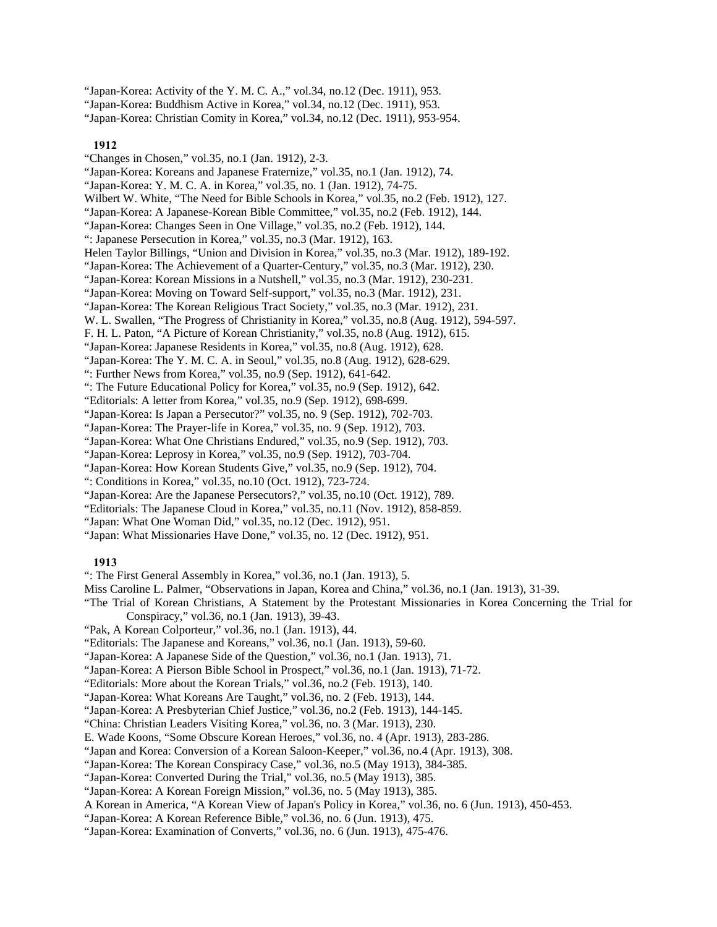"Japan-Korea: Activity of the Y. M. C. A.," vol.34, no.12 (Dec. 1911), 953.

"Japan-Korea: Buddhism Active in Korea," vol.34, no.12 (Dec. 1911), 953.

"Japan-Korea: Christian Comity in Korea," vol.34, no.12 (Dec. 1911), 953-954.

### **1912**

"Changes in Chosen," vol.35, no.1 (Jan. 1912), 2-3. "Japan-Korea: Koreans and Japanese Fraternize," vol.35, no.1 (Jan. 1912), 74. "Japan-Korea: Y. M. C. A. in Korea," vol.35, no. 1 (Jan. 1912), 74-75. Wilbert W. White, "The Need for Bible Schools in Korea," vol.35, no.2 (Feb. 1912), 127. "Japan-Korea: A Japanese-Korean Bible Committee," vol.35, no.2 (Feb. 1912), 144. "Japan-Korea: Changes Seen in One Village," vol.35, no.2 (Feb. 1912), 144. ": Japanese Persecution in Korea," vol.35, no.3 (Mar. 1912), 163. Helen Taylor Billings, "Union and Division in Korea," vol.35, no.3 (Mar. 1912), 189-192. "Japan-Korea: The Achievement of a Quarter-Century," vol.35, no.3 (Mar. 1912), 230. "Japan-Korea: Korean Missions in a Nutshell," vol.35, no.3 (Mar. 1912), 230-231. "Japan-Korea: Moving on Toward Self-support," vol.35, no.3 (Mar. 1912), 231. "Japan-Korea: The Korean Religious Tract Society," vol.35, no.3 (Mar. 1912), 231. W. L. Swallen, "The Progress of Christianity in Korea," vol.35, no.8 (Aug. 1912), 594-597. F. H. L. Paton, "A Picture of Korean Christianity," vol.35, no.8 (Aug. 1912), 615. "Japan-Korea: Japanese Residents in Korea," vol.35, no.8 (Aug. 1912), 628. "Japan-Korea: The Y. M. C. A. in Seoul," vol.35, no.8 (Aug. 1912), 628-629. ": Further News from Korea," vol.35, no.9 (Sep. 1912), 641-642. ": The Future Educational Policy for Korea," vol.35, no.9 (Sep. 1912), 642. "Editorials: A letter from Korea," vol.35, no.9 (Sep. 1912), 698-699. "Japan-Korea: Is Japan a Persecutor?" vol.35, no. 9 (Sep. 1912), 702-703. "Japan-Korea: The Prayer-life in Korea," vol.35, no. 9 (Sep. 1912), 703. "Japan-Korea: What One Christians Endured," vol.35, no.9 (Sep. 1912), 703. "Japan-Korea: Leprosy in Korea," vol.35, no.9 (Sep. 1912), 703-704. "Japan-Korea: How Korean Students Give," vol.35, no.9 (Sep. 1912), 704. ": Conditions in Korea," vol.35, no.10 (Oct. 1912), 723-724. "Japan-Korea: Are the Japanese Persecutors?," vol.35, no.10 (Oct. 1912), 789. "Editorials: The Japanese Cloud in Korea," vol.35, no.11 (Nov. 1912), 858-859.

- "Japan: What One Woman Did," vol.35, no.12 (Dec. 1912), 951.
- "Japan: What Missionaries Have Done," vol.35, no. 12 (Dec. 1912), 951.

- ": The First General Assembly in Korea," vol.36, no.1 (Jan. 1913), 5.
- Miss Caroline L. Palmer, "Observations in Japan, Korea and China," vol.36, no.1 (Jan. 1913), 31-39.
- "The Trial of Korean Christians, A Statement by the Protestant Missionaries in Korea Concerning the Trial for Conspiracy," vol.36, no.1 (Jan. 1913), 39-43.
- "Pak, A Korean Colporteur," vol.36, no.1 (Jan. 1913), 44.
- "Editorials: The Japanese and Koreans," vol.36, no.1 (Jan. 1913), 59-60.
- "Japan-Korea: A Japanese Side of the Question," vol.36, no.1 (Jan. 1913), 71.
- "Japan-Korea: A Pierson Bible School in Prospect," vol.36, no.1 (Jan. 1913), 71-72.
- "Editorials: More about the Korean Trials," vol.36, no.2 (Feb. 1913), 140.
- "Japan-Korea: What Koreans Are Taught," vol.36, no. 2 (Feb. 1913), 144.
- "Japan-Korea: A Presbyterian Chief Justice," vol.36, no.2 (Feb. 1913), 144-145.
- "China: Christian Leaders Visiting Korea," vol.36, no. 3 (Mar. 1913), 230.
- E. Wade Koons, "Some Obscure Korean Heroes," vol.36, no. 4 (Apr. 1913), 283-286.
- "Japan and Korea: Conversion of a Korean Saloon-Keeper," vol.36, no.4 (Apr. 1913), 308.
- "Japan-Korea: The Korean Conspiracy Case," vol.36, no.5 (May 1913), 384-385.
- "Japan-Korea: Converted During the Trial," vol.36, no.5 (May 1913), 385.
- "Japan-Korea: A Korean Foreign Mission," vol.36, no. 5 (May 1913), 385.
- A Korean in America, "A Korean View of Japan's Policy in Korea," vol.36, no. 6 (Jun. 1913), 450-453.
- "Japan-Korea: A Korean Reference Bible," vol.36, no. 6 (Jun. 1913), 475.
- "Japan-Korea: Examination of Converts," vol.36, no. 6 (Jun. 1913), 475-476.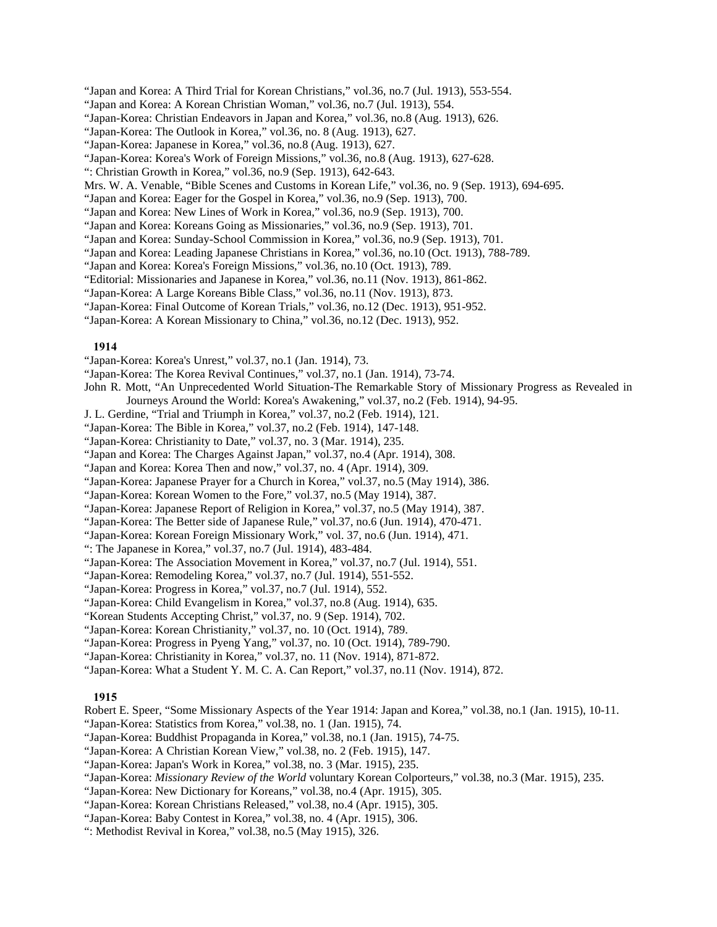- "Japan and Korea: A Third Trial for Korean Christians," vol.36, no.7 (Jul. 1913), 553-554.
- "Japan and Korea: A Korean Christian Woman," vol.36, no.7 (Jul. 1913), 554.
- "Japan-Korea: Christian Endeavors in Japan and Korea," vol.36, no.8 (Aug. 1913), 626.
- "Japan-Korea: The Outlook in Korea," vol.36, no. 8 (Aug. 1913), 627.
- "Japan-Korea: Japanese in Korea," vol.36, no.8 (Aug. 1913), 627.
- "Japan-Korea: Korea's Work of Foreign Missions," vol.36, no.8 (Aug. 1913), 627-628.
- ": Christian Growth in Korea," vol.36, no.9 (Sep. 1913), 642-643.
- Mrs. W. A. Venable, "Bible Scenes and Customs in Korean Life," vol.36, no. 9 (Sep. 1913), 694-695.
- "Japan and Korea: Eager for the Gospel in Korea," vol.36, no.9 (Sep. 1913), 700.
- "Japan and Korea: New Lines of Work in Korea," vol.36, no.9 (Sep. 1913), 700.
- "Japan and Korea: Koreans Going as Missionaries," vol.36, no.9 (Sep. 1913), 701.
- "Japan and Korea: Sunday-School Commission in Korea," vol.36, no.9 (Sep. 1913), 701.
- "Japan and Korea: Leading Japanese Christians in Korea," vol.36, no.10 (Oct. 1913), 788-789.
- "Japan and Korea: Korea's Foreign Missions," vol.36, no.10 (Oct. 1913), 789.
- "Editorial: Missionaries and Japanese in Korea," vol.36, no.11 (Nov. 1913), 861-862.
- "Japan-Korea: A Large Koreans Bible Class," vol.36, no.11 (Nov. 1913), 873.
- "Japan-Korea: Final Outcome of Korean Trials," vol.36, no.12 (Dec. 1913), 951-952.
- "Japan-Korea: A Korean Missionary to China," vol.36, no.12 (Dec. 1913), 952.

### **1914**

- "Japan-Korea: Korea's Unrest," vol.37, no.1 (Jan. 1914), 73.
- "Japan-Korea: The Korea Revival Continues," vol.37, no.1 (Jan. 1914), 73-74.
- John R. Mott, "An Unprecedented World Situation-The Remarkable Story of Missionary Progress as Revealed in Journeys Around the World: Korea's Awakening," vol.37, no.2 (Feb. 1914), 94-95.
- J. L. Gerdine, "Trial and Triumph in Korea," vol.37, no.2 (Feb. 1914), 121.
- "Japan-Korea: The Bible in Korea," vol.37, no.2 (Feb. 1914), 147-148.
- "Japan-Korea: Christianity to Date," vol.37, no. 3 (Mar. 1914), 235.
- "Japan and Korea: The Charges Against Japan," vol.37, no.4 (Apr. 1914), 308.
- "Japan and Korea: Korea Then and now," vol.37, no. 4 (Apr. 1914), 309.
- "Japan-Korea: Japanese Prayer for a Church in Korea," vol.37, no.5 (May 1914), 386.
- "Japan-Korea: Korean Women to the Fore," vol.37, no.5 (May 1914), 387.
- "Japan-Korea: Japanese Report of Religion in Korea," vol.37, no.5 (May 1914), 387.
- "Japan-Korea: The Better side of Japanese Rule," vol.37, no.6 (Jun. 1914), 470-471.
- "Japan-Korea: Korean Foreign Missionary Work," vol. 37, no.6 (Jun. 1914), 471.
- ": The Japanese in Korea," vol.37, no.7 (Jul. 1914), 483-484.
- "Japan-Korea: The Association Movement in Korea," vol.37, no.7 (Jul. 1914), 551.
- "Japan-Korea: Remodeling Korea," vol.37, no.7 (Jul. 1914), 551-552.
- "Japan-Korea: Progress in Korea," vol.37, no.7 (Jul. 1914), 552.
- "Japan-Korea: Child Evangelism in Korea," vol.37, no.8 (Aug. 1914), 635.
- "Korean Students Accepting Christ," vol.37, no. 9 (Sep. 1914), 702.
- "Japan-Korea: Korean Christianity," vol.37, no. 10 (Oct. 1914), 789.
- "Japan-Korea: Progress in Pyeng Yang," vol.37, no. 10 (Oct. 1914), 789-790.
- "Japan-Korea: Christianity in Korea," vol.37, no. 11 (Nov. 1914), 871-872.
- "Japan-Korea: What a Student Y. M. C. A. Can Report," vol.37, no.11 (Nov. 1914), 872.

- Robert E. Speer, "Some Missionary Aspects of the Year 1914: Japan and Korea," vol.38, no.1 (Jan. 1915), 10-11.
- "Japan-Korea: Statistics from Korea," vol.38, no. 1 (Jan. 1915), 74.
- "Japan-Korea: Buddhist Propaganda in Korea," vol.38, no.1 (Jan. 1915), 74-75.
- "Japan-Korea: A Christian Korean View," vol.38, no. 2 (Feb. 1915), 147.
- "Japan-Korea: Japan's Work in Korea," vol.38, no. 3 (Mar. 1915), 235.
- "Japan-Korea: *Missionary Review of the World* voluntary Korean Colporteurs," vol.38, no.3 (Mar. 1915), 235.
- "Japan-Korea: New Dictionary for Koreans," vol.38, no.4 (Apr. 1915), 305.
- "Japan-Korea: Korean Christians Released," vol.38, no.4 (Apr. 1915), 305.
- "Japan-Korea: Baby Contest in Korea," vol.38, no. 4 (Apr. 1915), 306.
- ": Methodist Revival in Korea," vol.38, no.5 (May 1915), 326.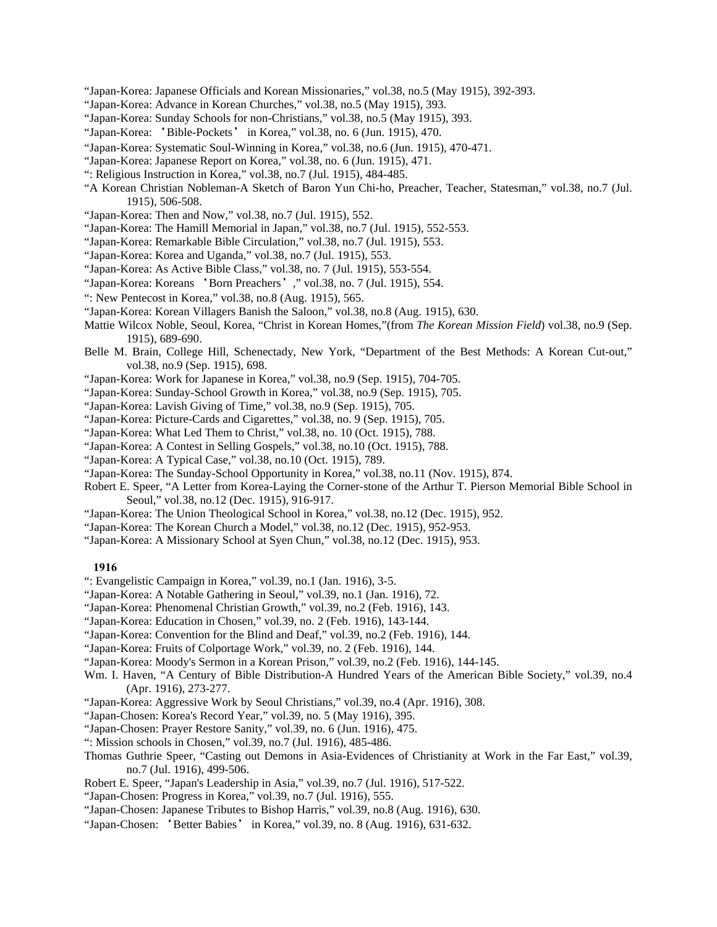- "Japan-Korea: Japanese Officials and Korean Missionaries," vol.38, no.5 (May 1915), 392-393.
- "Japan-Korea: Advance in Korean Churches," vol.38, no.5 (May 1915), 393.
- "Japan-Korea: Sunday Schools for non-Christians," vol.38, no.5 (May 1915), 393.
- "Japan-Korea: 'Bible-Pockets' in Korea," vol.38, no. 6 (Jun. 1915), 470.
- "Japan-Korea: Systematic Soul-Winning in Korea," vol.38, no.6 (Jun. 1915), 470-471.
- "Japan-Korea: Japanese Report on Korea," vol.38, no. 6 (Jun. 1915), 471.
- ": Religious Instruction in Korea," vol.38, no.7 (Jul. 1915), 484-485.
- "A Korean Christian Nobleman-A Sketch of Baron Yun Chi-ho, Preacher, Teacher, Statesman," vol.38, no.7 (Jul. 1915), 506-508.
- "Japan-Korea: Then and Now," vol.38, no.7 (Jul. 1915), 552.
- "Japan-Korea: The Hamill Memorial in Japan," vol.38, no.7 (Jul. 1915), 552-553.
- "Japan-Korea: Remarkable Bible Circulation," vol.38, no.7 (Jul. 1915), 553.
- "Japan-Korea: Korea and Uganda," vol.38, no.7 (Jul. 1915), 553.
- "Japan-Korea: As Active Bible Class," vol.38, no. 7 (Jul. 1915), 553-554.
- "Japan-Korea: Koreans 'Born Preachers'," vol.38, no. 7 (Jul. 1915), 554.
- ": New Pentecost in Korea," vol.38, no.8 (Aug. 1915), 565.
- "Japan-Korea: Korean Villagers Banish the Saloon," vol.38, no.8 (Aug. 1915), 630.
- Mattie Wilcox Noble, Seoul, Korea, "Christ in Korean Homes,"(from *The Korean Mission Field*) vol.38, no.9 (Sep. 1915), 689-690.
- Belle M. Brain, College Hill, Schenectady, New York, "Department of the Best Methods: A Korean Cut-out," vol.38, no.9 (Sep. 1915), 698.
- "Japan-Korea: Work for Japanese in Korea," vol.38, no.9 (Sep. 1915), 704-705.
- "Japan-Korea: Sunday-School Growth in Korea," vol.38, no.9 (Sep. 1915), 705.
- "Japan-Korea: Lavish Giving of Time," vol.38, no.9 (Sep. 1915), 705.
- "Japan-Korea: Picture-Cards and Cigarettes," vol.38, no. 9 (Sep. 1915), 705.
- "Japan-Korea: What Led Them to Christ," vol.38, no. 10 (Oct. 1915), 788.
- "Japan-Korea: A Contest in Selling Gospels," vol.38, no.10 (Oct. 1915), 788.
- "Japan-Korea: A Typical Case," vol.38, no.10 (Oct. 1915), 789.
- "Japan-Korea: The Sunday-School Opportunity in Korea," vol.38, no.11 (Nov. 1915), 874.
- Robert E. Speer, "A Letter from Korea-Laying the Corner-stone of the Arthur T. Pierson Memorial Bible School in Seoul," vol.38, no.12 (Dec. 1915), 916-917.
- "Japan-Korea: The Union Theological School in Korea," vol.38, no.12 (Dec. 1915), 952.
- "Japan-Korea: The Korean Church a Model," vol.38, no.12 (Dec. 1915), 952-953.
- "Japan-Korea: A Missionary School at Syen Chun," vol.38, no.12 (Dec. 1915), 953.

- ": Evangelistic Campaign in Korea," vol.39, no.1 (Jan. 1916), 3-5.
- "Japan-Korea: A Notable Gathering in Seoul," vol.39, no.1 (Jan. 1916), 72.
- "Japan-Korea: Phenomenal Christian Growth," vol.39, no.2 (Feb. 1916), 143.
- "Japan-Korea: Education in Chosen," vol.39, no. 2 (Feb. 1916), 143-144.
- "Japan-Korea: Convention for the Blind and Deaf," vol.39, no.2 (Feb. 1916), 144.
- "Japan-Korea: Fruits of Colportage Work," vol.39, no. 2 (Feb. 1916), 144.
- "Japan-Korea: Moody's Sermon in a Korean Prison," vol.39, no.2 (Feb. 1916), 144-145.
- Wm. I. Haven, "A Century of Bible Distribution-A Hundred Years of the American Bible Society," vol.39, no.4 (Apr. 1916), 273-277.
- "Japan-Korea: Aggressive Work by Seoul Christians," vol.39, no.4 (Apr. 1916), 308.
- "Japan-Chosen: Korea's Record Year," vol.39, no. 5 (May 1916), 395.
- "Japan-Chosen: Prayer Restore Sanity," vol.39, no. 6 (Jun. 1916), 475.
- ": Mission schools in Chosen," vol.39, no.7 (Jul. 1916), 485-486.
- Thomas Guthrie Speer, "Casting out Demons in Asia-Evidences of Christianity at Work in the Far East," vol.39, no.7 (Jul. 1916), 499-506.
- Robert E. Speer, "Japan's Leadership in Asia," vol.39, no.7 (Jul. 1916), 517-522.
- "Japan-Chosen: Progress in Korea," vol.39, no.7 (Jul. 1916), 555.
- "Japan-Chosen: Japanese Tributes to Bishop Harris," vol.39, no.8 (Aug. 1916), 630.
- "Japan-Chosen: 'Better Babies' in Korea," vol.39, no. 8 (Aug. 1916), 631-632.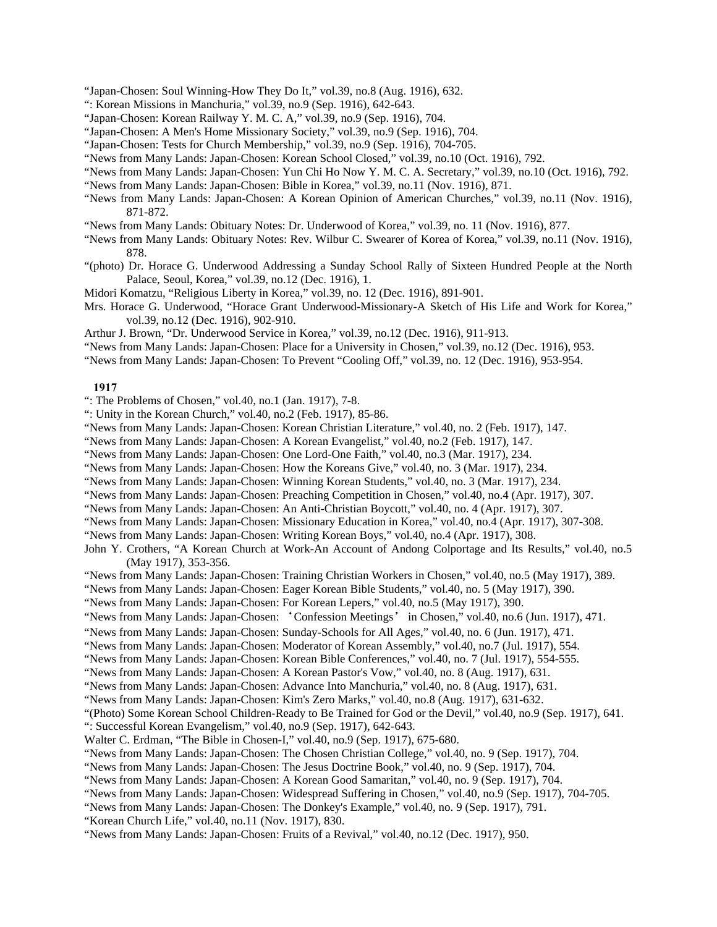"Japan-Chosen: Soul Winning-How They Do It," vol.39, no.8 (Aug. 1916), 632.

- ": Korean Missions in Manchuria," vol.39, no.9 (Sep. 1916), 642-643.
- "Japan-Chosen: Korean Railway Y. M. C. A," vol.39, no.9 (Sep. 1916), 704.
- "Japan-Chosen: A Men's Home Missionary Society," vol.39, no.9 (Sep. 1916), 704.

"Japan-Chosen: Tests for Church Membership," vol.39, no.9 (Sep. 1916), 704-705.

- "News from Many Lands: Japan-Chosen: Korean School Closed," vol.39, no.10 (Oct. 1916), 792.
- "News from Many Lands: Japan-Chosen: Yun Chi Ho Now Y. M. C. A. Secretary," vol.39, no.10 (Oct. 1916), 792.
- "News from Many Lands: Japan-Chosen: Bible in Korea," vol.39, no.11 (Nov. 1916), 871.
- "News from Many Lands: Japan-Chosen: A Korean Opinion of American Churches," vol.39, no.11 (Nov. 1916), 871-872.
- "News from Many Lands: Obituary Notes: Dr. Underwood of Korea," vol.39, no. 11 (Nov. 1916), 877.
- "News from Many Lands: Obituary Notes: Rev. Wilbur C. Swearer of Korea of Korea," vol.39, no.11 (Nov. 1916), 878.
- "(photo) Dr. Horace G. Underwood Addressing a Sunday School Rally of Sixteen Hundred People at the North Palace, Seoul, Korea," vol.39, no.12 (Dec. 1916), 1.
- Midori Komatzu, "Religious Liberty in Korea," vol.39, no. 12 (Dec. 1916), 891-901.
- Mrs. Horace G. Underwood, "Horace Grant Underwood-Missionary-A Sketch of His Life and Work for Korea," vol.39, no.12 (Dec. 1916), 902-910.
- Arthur J. Brown, "Dr. Underwood Service in Korea," vol.39, no.12 (Dec. 1916), 911-913.
- "News from Many Lands: Japan-Chosen: Place for a University in Chosen," vol.39, no.12 (Dec. 1916), 953.
- "News from Many Lands: Japan-Chosen: To Prevent "Cooling Off," vol.39, no. 12 (Dec. 1916), 953-954.

# **1917**

": The Problems of Chosen," vol.40, no.1 (Jan. 1917), 7-8.

- ": Unity in the Korean Church," vol.40, no.2 (Feb. 1917), 85-86.
- "News from Many Lands: Japan-Chosen: Korean Christian Literature," vol.40, no. 2 (Feb. 1917), 147.
- "News from Many Lands: Japan-Chosen: A Korean Evangelist," vol.40, no.2 (Feb. 1917), 147.
- "News from Many Lands: Japan-Chosen: One Lord-One Faith," vol.40, no.3 (Mar. 1917), 234.
- "News from Many Lands: Japan-Chosen: How the Koreans Give," vol.40, no. 3 (Mar. 1917), 234.
- "News from Many Lands: Japan-Chosen: Winning Korean Students," vol.40, no. 3 (Mar. 1917), 234.
- "News from Many Lands: Japan-Chosen: Preaching Competition in Chosen," vol.40, no.4 (Apr. 1917), 307.
- "News from Many Lands: Japan-Chosen: An Anti-Christian Boycott," vol.40, no. 4 (Apr. 1917), 307.
- "News from Many Lands: Japan-Chosen: Missionary Education in Korea," vol.40, no.4 (Apr. 1917), 307-308.
- "News from Many Lands: Japan-Chosen: Writing Korean Boys," vol.40, no.4 (Apr. 1917), 308.
- John Y. Crothers, "A Korean Church at Work-An Account of Andong Colportage and Its Results," vol.40, no.5 (May 1917), 353-356.
- "News from Many Lands: Japan-Chosen: Training Christian Workers in Chosen," vol.40, no.5 (May 1917), 389.
- "News from Many Lands: Japan-Chosen: Eager Korean Bible Students," vol.40, no. 5 (May 1917), 390.
- "News from Many Lands: Japan-Chosen: For Korean Lepers," vol.40, no.5 (May 1917), 390.
- "News from Many Lands: Japan-Chosen: 'Confession Meetings' in Chosen," vol.40, no.6 (Jun. 1917), 471.
- "News from Many Lands: Japan-Chosen: Sunday-Schools for All Ages," vol.40, no. 6 (Jun. 1917), 471.
- "News from Many Lands: Japan-Chosen: Moderator of Korean Assembly," vol.40, no.7 (Jul. 1917), 554.
- "News from Many Lands: Japan-Chosen: Korean Bible Conferences," vol.40, no. 7 (Jul. 1917), 554-555.
- "News from Many Lands: Japan-Chosen: A Korean Pastor's Vow," vol.40, no. 8 (Aug. 1917), 631.
- "News from Many Lands: Japan-Chosen: Advance Into Manchuria," vol.40, no. 8 (Aug. 1917), 631.
- "News from Many Lands: Japan-Chosen: Kim's Zero Marks," vol.40, no.8 (Aug. 1917), 631-632.
- "(Photo) Some Korean School Children-Ready to Be Trained for God or the Devil," vol.40, no.9 (Sep. 1917), 641.
- ": Successful Korean Evangelism," vol.40, no.9 (Sep. 1917), 642-643.
- Walter C. Erdman, "The Bible in Chosen-I," vol.40, no.9 (Sep. 1917), 675-680.
- "News from Many Lands: Japan-Chosen: The Chosen Christian College," vol.40, no. 9 (Sep. 1917), 704.
- "News from Many Lands: Japan-Chosen: The Jesus Doctrine Book," vol.40, no. 9 (Sep. 1917), 704.
- "News from Many Lands: Japan-Chosen: A Korean Good Samaritan," vol.40, no. 9 (Sep. 1917), 704.
- "News from Many Lands: Japan-Chosen: Widespread Suffering in Chosen," vol.40, no.9 (Sep. 1917), 704-705.
- "News from Many Lands: Japan-Chosen: The Donkey's Example," vol.40, no. 9 (Sep. 1917), 791.
- "Korean Church Life," vol.40, no.11 (Nov. 1917), 830.
- "News from Many Lands: Japan-Chosen: Fruits of a Revival," vol.40, no.12 (Dec. 1917), 950.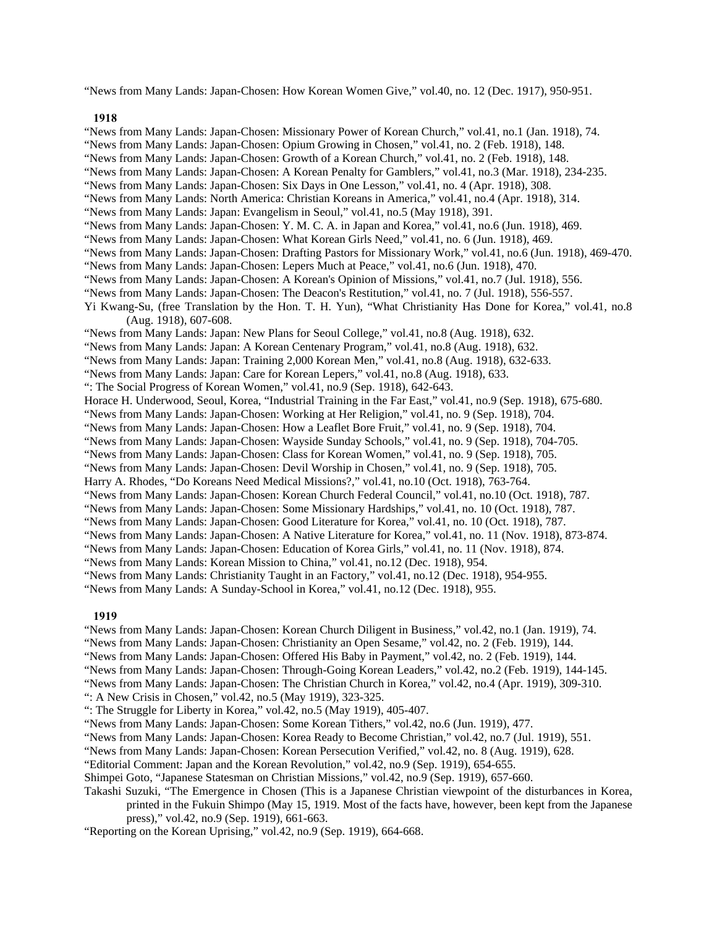"News from Many Lands: Japan-Chosen: How Korean Women Give," vol.40, no. 12 (Dec. 1917), 950-951.

# **1918**

"News from Many Lands: Japan-Chosen: Missionary Power of Korean Church," vol.41, no.1 (Jan. 1918), 74. "News from Many Lands: Japan-Chosen: Opium Growing in Chosen," vol.41, no. 2 (Feb. 1918), 148. "News from Many Lands: Japan-Chosen: Growth of a Korean Church," vol.41, no. 2 (Feb. 1918), 148. "News from Many Lands: Japan-Chosen: A Korean Penalty for Gamblers," vol.41, no.3 (Mar. 1918), 234-235. "News from Many Lands: Japan-Chosen: Six Days in One Lesson," vol.41, no. 4 (Apr. 1918), 308. "News from Many Lands: North America: Christian Koreans in America," vol.41, no.4 (Apr. 1918), 314. "News from Many Lands: Japan: Evangelism in Seoul," vol.41, no.5 (May 1918), 391. "News from Many Lands: Japan-Chosen: Y. M. C. A. in Japan and Korea," vol.41, no.6 (Jun. 1918), 469. "News from Many Lands: Japan-Chosen: What Korean Girls Need," vol.41, no. 6 (Jun. 1918), 469. "News from Many Lands: Japan-Chosen: Drafting Pastors for Missionary Work," vol.41, no.6 (Jun. 1918), 469-470. "News from Many Lands: Japan-Chosen: Lepers Much at Peace," vol.41, no.6 (Jun. 1918), 470. "News from Many Lands: Japan-Chosen: A Korean's Opinion of Missions," vol.41, no.7 (Jul. 1918), 556. "News from Many Lands: Japan-Chosen: The Deacon's Restitution," vol.41, no. 7 (Jul. 1918), 556-557. Yi Kwang-Su, (free Translation by the Hon. T. H. Yun), "What Christianity Has Done for Korea," vol.41, no.8 (Aug. 1918), 607-608. "News from Many Lands: Japan: New Plans for Seoul College," vol.41, no.8 (Aug. 1918), 632. "News from Many Lands: Japan: A Korean Centenary Program," vol.41, no.8 (Aug. 1918), 632. "News from Many Lands: Japan: Training 2,000 Korean Men," vol.41, no.8 (Aug. 1918), 632-633. "News from Many Lands: Japan: Care for Korean Lepers," vol.41, no.8 (Aug. 1918), 633. ": The Social Progress of Korean Women," vol.41, no.9 (Sep. 1918), 642-643. Horace H. Underwood, Seoul, Korea, "Industrial Training in the Far East," vol.41, no.9 (Sep. 1918), 675-680. "News from Many Lands: Japan-Chosen: Working at Her Religion," vol.41, no. 9 (Sep. 1918), 704. "News from Many Lands: Japan-Chosen: How a Leaflet Bore Fruit," vol.41, no. 9 (Sep. 1918), 704. "News from Many Lands: Japan-Chosen: Wayside Sunday Schools," vol.41, no. 9 (Sep. 1918), 704-705. "News from Many Lands: Japan-Chosen: Class for Korean Women," vol.41, no. 9 (Sep. 1918), 705. "News from Many Lands: Japan-Chosen: Devil Worship in Chosen," vol.41, no. 9 (Sep. 1918), 705. Harry A. Rhodes, "Do Koreans Need Medical Missions?," vol.41, no.10 (Oct. 1918), 763-764. "News from Many Lands: Japan-Chosen: Korean Church Federal Council," vol.41, no.10 (Oct. 1918), 787. "News from Many Lands: Japan-Chosen: Some Missionary Hardships," vol.41, no. 10 (Oct. 1918), 787. "News from Many Lands: Japan-Chosen: Good Literature for Korea," vol.41, no. 10 (Oct. 1918), 787. "News from Many Lands: Japan-Chosen: A Native Literature for Korea," vol.41, no. 11 (Nov. 1918), 873-874. "News from Many Lands: Japan-Chosen: Education of Korea Girls," vol.41, no. 11 (Nov. 1918), 874. "News from Many Lands: Korean Mission to China," vol.41, no.12 (Dec. 1918), 954. "News from Many Lands: Christianity Taught in an Factory," vol.41, no.12 (Dec. 1918), 954-955. "News from Many Lands: A Sunday-School in Korea," vol.41, no.12 (Dec. 1918), 955.

#### **1919**

"News from Many Lands: Japan-Chosen: Korean Church Diligent in Business," vol.42, no.1 (Jan. 1919), 74.

"News from Many Lands: Japan-Chosen: Christianity an Open Sesame," vol.42, no. 2 (Feb. 1919), 144.

"News from Many Lands: Japan-Chosen: Offered His Baby in Payment," vol.42, no. 2 (Feb. 1919), 144.

"News from Many Lands: Japan-Chosen: Through-Going Korean Leaders," vol.42, no.2 (Feb. 1919), 144-145.

"News from Many Lands: Japan-Chosen: The Christian Church in Korea," vol.42, no.4 (Apr. 1919), 309-310.

": A New Crisis in Chosen," vol.42, no.5 (May 1919), 323-325.

- ": The Struggle for Liberty in Korea," vol.42, no.5 (May 1919), 405-407.
- "News from Many Lands: Japan-Chosen: Some Korean Tithers," vol.42, no.6 (Jun. 1919), 477.
- "News from Many Lands: Japan-Chosen: Korea Ready to Become Christian," vol.42, no.7 (Jul. 1919), 551.

"News from Many Lands: Japan-Chosen: Korean Persecution Verified," vol.42, no. 8 (Aug. 1919), 628.

"Editorial Comment: Japan and the Korean Revolution," vol.42, no.9 (Sep. 1919), 654-655.

Shimpei Goto, "Japanese Statesman on Christian Missions," vol.42, no.9 (Sep. 1919), 657-660.

Takashi Suzuki, "The Emergence in Chosen (This is a Japanese Christian viewpoint of the disturbances in Korea, printed in the Fukuin Shimpo (May 15, 1919. Most of the facts have, however, been kept from the Japanese press)," vol.42, no.9 (Sep. 1919), 661-663.

"Reporting on the Korean Uprising," vol.42, no.9 (Sep. 1919), 664-668.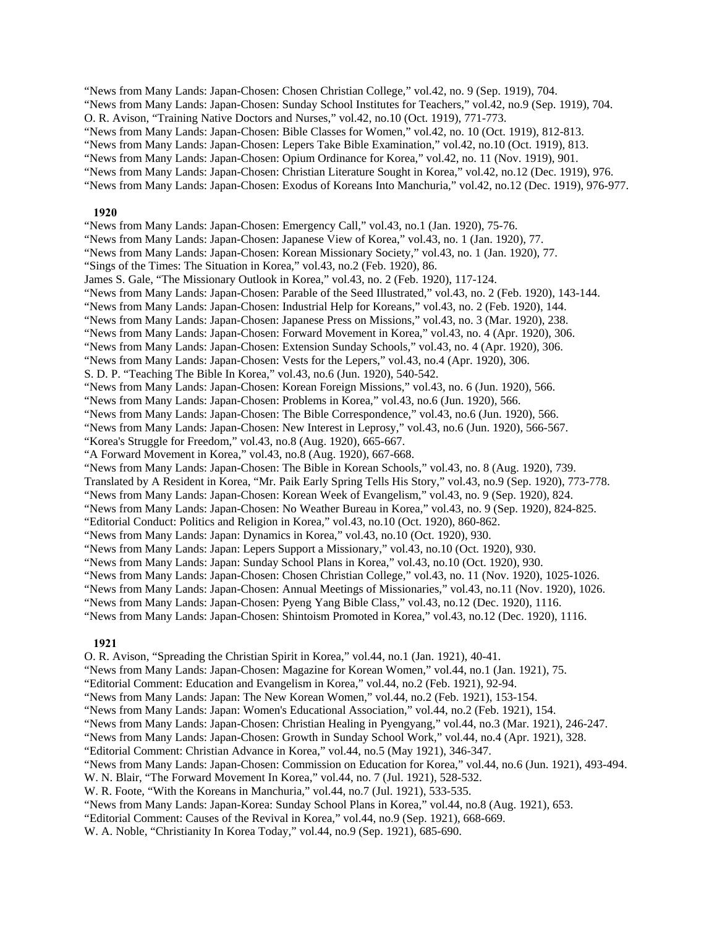"News from Many Lands: Japan-Chosen: Chosen Christian College," vol.42, no. 9 (Sep. 1919), 704. "News from Many Lands: Japan-Chosen: Sunday School Institutes for Teachers," vol.42, no.9 (Sep. 1919), 704. O. R. Avison, "Training Native Doctors and Nurses," vol.42, no.10 (Oct. 1919), 771-773. "News from Many Lands: Japan-Chosen: Bible Classes for Women," vol.42, no. 10 (Oct. 1919), 812-813. "News from Many Lands: Japan-Chosen: Lepers Take Bible Examination," vol.42, no.10 (Oct. 1919), 813. "News from Many Lands: Japan-Chosen: Opium Ordinance for Korea," vol.42, no. 11 (Nov. 1919), 901. "News from Many Lands: Japan-Chosen: Christian Literature Sought in Korea," vol.42, no.12 (Dec. 1919), 976. "News from Many Lands: Japan-Chosen: Exodus of Koreans Into Manchuria," vol.42, no.12 (Dec. 1919), 976-977.

# **1920**

"News from Many Lands: Japan-Chosen: Emergency Call," vol.43, no.1 (Jan. 1920), 75-76. "News from Many Lands: Japan-Chosen: Japanese View of Korea," vol.43, no. 1 (Jan. 1920), 77. "News from Many Lands: Japan-Chosen: Korean Missionary Society," vol.43, no. 1 (Jan. 1920), 77. "Sings of the Times: The Situation in Korea," vol.43, no.2 (Feb. 1920), 86. James S. Gale, "The Missionary Outlook in Korea," vol.43, no. 2 (Feb. 1920), 117-124. "News from Many Lands: Japan-Chosen: Parable of the Seed Illustrated," vol.43, no. 2 (Feb. 1920), 143-144. "News from Many Lands: Japan-Chosen: Industrial Help for Koreans," vol.43, no. 2 (Feb. 1920), 144. "News from Many Lands: Japan-Chosen: Japanese Press on Missions," vol.43, no. 3 (Mar. 1920), 238. "News from Many Lands: Japan-Chosen: Forward Movement in Korea," vol.43, no. 4 (Apr. 1920), 306. "News from Many Lands: Japan-Chosen: Extension Sunday Schools," vol.43, no. 4 (Apr. 1920), 306. "News from Many Lands: Japan-Chosen: Vests for the Lepers," vol.43, no.4 (Apr. 1920), 306. S. D. P. "Teaching The Bible In Korea," vol.43, no.6 (Jun. 1920), 540-542. "News from Many Lands: Japan-Chosen: Korean Foreign Missions," vol.43, no. 6 (Jun. 1920), 566. "News from Many Lands: Japan-Chosen: Problems in Korea," vol.43, no.6 (Jun. 1920), 566. "News from Many Lands: Japan-Chosen: The Bible Correspondence," vol.43, no.6 (Jun. 1920), 566. "News from Many Lands: Japan-Chosen: New Interest in Leprosy," vol.43, no.6 (Jun. 1920), 566-567. "Korea's Struggle for Freedom," vol.43, no.8 (Aug. 1920), 665-667. "A Forward Movement in Korea," vol.43, no.8 (Aug. 1920), 667-668. "News from Many Lands: Japan-Chosen: The Bible in Korean Schools," vol.43, no. 8 (Aug. 1920), 739. Translated by A Resident in Korea, "Mr. Paik Early Spring Tells His Story," vol.43, no.9 (Sep. 1920), 773-778. "News from Many Lands: Japan-Chosen: Korean Week of Evangelism," vol.43, no. 9 (Sep. 1920), 824. "News from Many Lands: Japan-Chosen: No Weather Bureau in Korea," vol.43, no. 9 (Sep. 1920), 824-825. "Editorial Conduct: Politics and Religion in Korea," vol.43, no.10 (Oct. 1920), 860-862. "News from Many Lands: Japan: Dynamics in Korea," vol.43, no.10 (Oct. 1920), 930. "News from Many Lands: Japan: Lepers Support a Missionary," vol.43, no.10 (Oct. 1920), 930. "News from Many Lands: Japan: Sunday School Plans in Korea," vol.43, no.10 (Oct. 1920), 930. "News from Many Lands: Japan-Chosen: Chosen Christian College," vol.43, no. 11 (Nov. 1920), 1025-1026. "News from Many Lands: Japan-Chosen: Annual Meetings of Missionaries," vol.43, no.11 (Nov. 1920), 1026. "News from Many Lands: Japan-Chosen: Pyeng Yang Bible Class," vol.43, no.12 (Dec. 1920), 1116. "News from Many Lands: Japan-Chosen: Shintoism Promoted in Korea," vol.43, no.12 (Dec. 1920), 1116.

#### **1921**

O. R. Avison, "Spreading the Christian Spirit in Korea," vol.44, no.1 (Jan. 1921), 40-41. "News from Many Lands: Japan-Chosen: Magazine for Korean Women," vol.44, no.1 (Jan. 1921), 75. "Editorial Comment: Education and Evangelism in Korea," vol.44, no.2 (Feb. 1921), 92-94. "News from Many Lands: Japan: The New Korean Women," vol.44, no.2 (Feb. 1921), 153-154. "News from Many Lands: Japan: Women's Educational Association," vol.44, no.2 (Feb. 1921), 154. "News from Many Lands: Japan-Chosen: Christian Healing in Pyengyang," vol.44, no.3 (Mar. 1921), 246-247. "News from Many Lands: Japan-Chosen: Growth in Sunday School Work," vol.44, no.4 (Apr. 1921), 328. "Editorial Comment: Christian Advance in Korea," vol.44, no.5 (May 1921), 346-347. "News from Many Lands: Japan-Chosen: Commission on Education for Korea," vol.44, no.6 (Jun. 1921), 493-494. W. N. Blair, "The Forward Movement In Korea," vol.44, no. 7 (Jul. 1921), 528-532. W. R. Foote, "With the Koreans in Manchuria," vol.44, no.7 (Jul. 1921), 533-535. "News from Many Lands: Japan-Korea: Sunday School Plans in Korea," vol.44, no.8 (Aug. 1921), 653. "Editorial Comment: Causes of the Revival in Korea," vol.44, no.9 (Sep. 1921), 668-669. W. A. Noble, "Christianity In Korea Today," vol.44, no.9 (Sep. 1921), 685-690.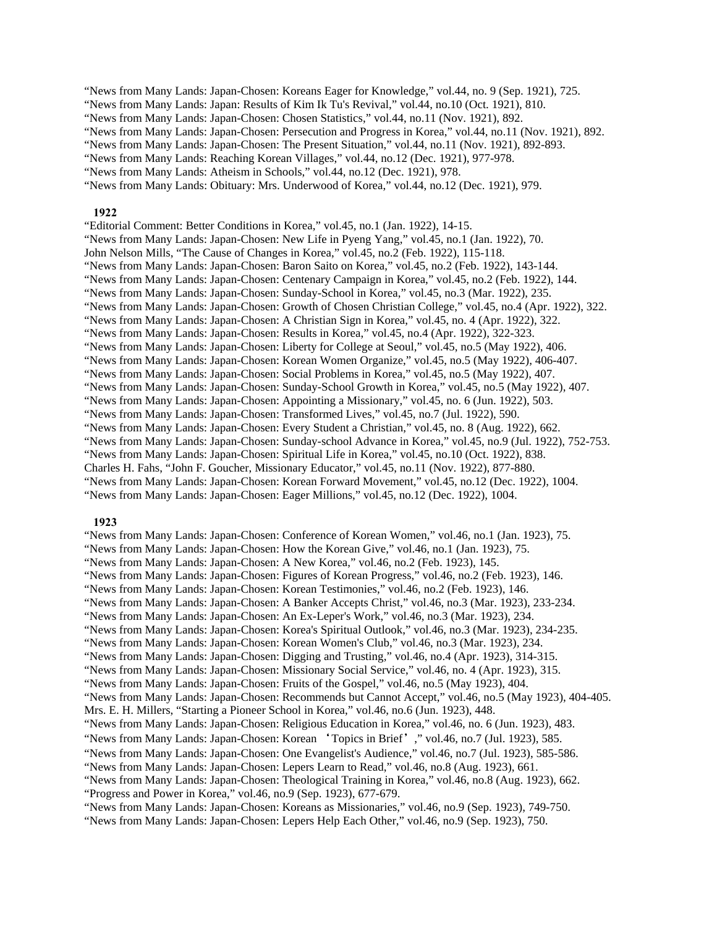"News from Many Lands: Japan-Chosen: Koreans Eager for Knowledge," vol.44, no. 9 (Sep. 1921), 725.

"News from Many Lands: Japan: Results of Kim Ik Tu's Revival," vol.44, no.10 (Oct. 1921), 810.

"News from Many Lands: Japan-Chosen: Chosen Statistics," vol.44, no.11 (Nov. 1921), 892.

"News from Many Lands: Japan-Chosen: Persecution and Progress in Korea," vol.44, no.11 (Nov. 1921), 892.

"News from Many Lands: Japan-Chosen: The Present Situation," vol.44, no.11 (Nov. 1921), 892-893.

"News from Many Lands: Reaching Korean Villages," vol.44, no.12 (Dec. 1921), 977-978.

"News from Many Lands: Atheism in Schools," vol.44, no.12 (Dec. 1921), 978.

"News from Many Lands: Obituary: Mrs. Underwood of Korea," vol.44, no.12 (Dec. 1921), 979.

# **1922**

"Editorial Comment: Better Conditions in Korea," vol.45, no.1 (Jan. 1922), 14-15. "News from Many Lands: Japan-Chosen: New Life in Pyeng Yang," vol.45, no.1 (Jan. 1922), 70. John Nelson Mills, "The Cause of Changes in Korea," vol.45, no.2 (Feb. 1922), 115-118. "News from Many Lands: Japan-Chosen: Baron Saito on Korea," vol.45, no.2 (Feb. 1922), 143-144. "News from Many Lands: Japan-Chosen: Centenary Campaign in Korea," vol.45, no.2 (Feb. 1922), 144. "News from Many Lands: Japan-Chosen: Sunday-School in Korea," vol.45, no.3 (Mar. 1922), 235. "News from Many Lands: Japan-Chosen: Growth of Chosen Christian College," vol.45, no.4 (Apr. 1922), 322. "News from Many Lands: Japan-Chosen: A Christian Sign in Korea," vol.45, no. 4 (Apr. 1922), 322. "News from Many Lands: Japan-Chosen: Results in Korea," vol.45, no.4 (Apr. 1922), 322-323. "News from Many Lands: Japan-Chosen: Liberty for College at Seoul," vol.45, no.5 (May 1922), 406. "News from Many Lands: Japan-Chosen: Korean Women Organize," vol.45, no.5 (May 1922), 406-407. "News from Many Lands: Japan-Chosen: Social Problems in Korea," vol.45, no.5 (May 1922), 407. "News from Many Lands: Japan-Chosen: Sunday-School Growth in Korea," vol.45, no.5 (May 1922), 407. "News from Many Lands: Japan-Chosen: Appointing a Missionary," vol.45, no. 6 (Jun. 1922), 503. "News from Many Lands: Japan-Chosen: Transformed Lives," vol.45, no.7 (Jul. 1922), 590. "News from Many Lands: Japan-Chosen: Every Student a Christian," vol.45, no. 8 (Aug. 1922), 662. "News from Many Lands: Japan-Chosen: Sunday-school Advance in Korea," vol.45, no.9 (Jul. 1922), 752-753. "News from Many Lands: Japan-Chosen: Spiritual Life in Korea," vol.45, no.10 (Oct. 1922), 838. Charles H. Fahs, "John F. Goucher, Missionary Educator," vol.45, no.11 (Nov. 1922), 877-880. "News from Many Lands: Japan-Chosen: Korean Forward Movement," vol.45, no.12 (Dec. 1922), 1004. "News from Many Lands: Japan-Chosen: Eager Millions," vol.45, no.12 (Dec. 1922), 1004.

### **1923**

"News from Many Lands: Japan-Chosen: Conference of Korean Women," vol.46, no.1 (Jan. 1923), 75. "News from Many Lands: Japan-Chosen: How the Korean Give," vol.46, no.1 (Jan. 1923), 75. "News from Many Lands: Japan-Chosen: A New Korea," vol.46, no.2 (Feb. 1923), 145. "News from Many Lands: Japan-Chosen: Figures of Korean Progress," vol.46, no.2 (Feb. 1923), 146. "News from Many Lands: Japan-Chosen: Korean Testimonies," vol.46, no.2 (Feb. 1923), 146. "News from Many Lands: Japan-Chosen: A Banker Accepts Christ," vol.46, no.3 (Mar. 1923), 233-234. "News from Many Lands: Japan-Chosen: An Ex-Leper's Work," vol.46, no.3 (Mar. 1923), 234. "News from Many Lands: Japan-Chosen: Korea's Spiritual Outlook," vol.46, no.3 (Mar. 1923), 234-235. "News from Many Lands: Japan-Chosen: Korean Women's Club," vol.46, no.3 (Mar. 1923), 234. "News from Many Lands: Japan-Chosen: Digging and Trusting," vol.46, no.4 (Apr. 1923), 314-315. "News from Many Lands: Japan-Chosen: Missionary Social Service," vol.46, no. 4 (Apr. 1923), 315. "News from Many Lands: Japan-Chosen: Fruits of the Gospel," vol.46, no.5 (May 1923), 404. "News from Many Lands: Japan-Chosen: Recommends but Cannot Accept," vol.46, no.5 (May 1923), 404-405. Mrs. E. H. Millers, "Starting a Pioneer School in Korea," vol.46, no.6 (Jun. 1923), 448. "News from Many Lands: Japan-Chosen: Religious Education in Korea," vol.46, no. 6 (Jun. 1923), 483. "News from Many Lands: Japan-Chosen: Korean 'Topics in Brief'," vol.46, no.7 (Jul. 1923), 585. "News from Many Lands: Japan-Chosen: One Evangelist's Audience," vol.46, no.7 (Jul. 1923), 585-586. "News from Many Lands: Japan-Chosen: Lepers Learn to Read," vol.46, no.8 (Aug. 1923), 661. "News from Many Lands: Japan-Chosen: Theological Training in Korea," vol.46, no.8 (Aug. 1923), 662. "Progress and Power in Korea," vol.46, no.9 (Sep. 1923), 677-679. "News from Many Lands: Japan-Chosen: Koreans as Missionaries," vol.46, no.9 (Sep. 1923), 749-750. "News from Many Lands: Japan-Chosen: Lepers Help Each Other," vol.46, no.9 (Sep. 1923), 750.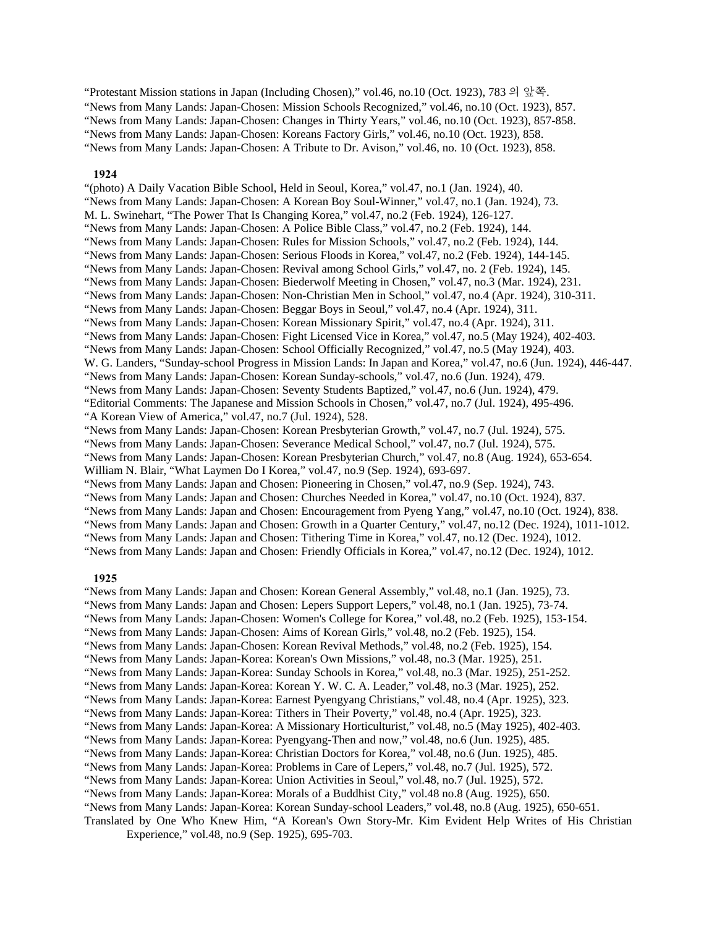"Protestant Mission stations in Japan (Including Chosen)," vol.46, no.10 (Oct. 1923), 783 의 앞쪽. "News from Many Lands: Japan-Chosen: Mission Schools Recognized," vol.46, no.10 (Oct. 1923), 857. "News from Many Lands: Japan-Chosen: Changes in Thirty Years," vol.46, no.10 (Oct. 1923), 857-858. "News from Many Lands: Japan-Chosen: Koreans Factory Girls," vol.46, no.10 (Oct. 1923), 858. "News from Many Lands: Japan-Chosen: A Tribute to Dr. Avison," vol.46, no. 10 (Oct. 1923), 858.

#### **1924**

"(photo) A Daily Vacation Bible School, Held in Seoul, Korea," vol.47, no.1 (Jan. 1924), 40. "News from Many Lands: Japan-Chosen: A Korean Boy Soul-Winner," vol.47, no.1 (Jan. 1924), 73. M. L. Swinehart, "The Power That Is Changing Korea," vol.47, no.2 (Feb. 1924), 126-127. "News from Many Lands: Japan-Chosen: A Police Bible Class," vol.47, no.2 (Feb. 1924), 144. "News from Many Lands: Japan-Chosen: Rules for Mission Schools," vol.47, no.2 (Feb. 1924), 144. "News from Many Lands: Japan-Chosen: Serious Floods in Korea," vol.47, no.2 (Feb. 1924), 144-145. "News from Many Lands: Japan-Chosen: Revival among School Girls," vol.47, no. 2 (Feb. 1924), 145. "News from Many Lands: Japan-Chosen: Biederwolf Meeting in Chosen," vol.47, no.3 (Mar. 1924), 231. "News from Many Lands: Japan-Chosen: Non-Christian Men in School," vol.47, no.4 (Apr. 1924), 310-311. "News from Many Lands: Japan-Chosen: Beggar Boys in Seoul," vol.47, no.4 (Apr. 1924), 311. "News from Many Lands: Japan-Chosen: Korean Missionary Spirit," vol.47, no.4 (Apr. 1924), 311. "News from Many Lands: Japan-Chosen: Fight Licensed Vice in Korea," vol.47, no.5 (May 1924), 402-403. "News from Many Lands: Japan-Chosen: School Officially Recognized," vol.47, no.5 (May 1924), 403. W. G. Landers, "Sunday-school Progress in Mission Lands: In Japan and Korea," vol.47, no.6 (Jun. 1924), 446-447. "News from Many Lands: Japan-Chosen: Korean Sunday-schools," vol.47, no.6 (Jun. 1924), 479. "News from Many Lands: Japan-Chosen: Seventy Students Baptized," vol.47, no.6 (Jun. 1924), 479. "Editorial Comments: The Japanese and Mission Schools in Chosen," vol.47, no.7 (Jul. 1924), 495-496. "A Korean View of America," vol.47, no.7 (Jul. 1924), 528. "News from Many Lands: Japan-Chosen: Korean Presbyterian Growth," vol.47, no.7 (Jul. 1924), 575. "News from Many Lands: Japan-Chosen: Severance Medical School," vol.47, no.7 (Jul. 1924), 575. "News from Many Lands: Japan-Chosen: Korean Presbyterian Church," vol.47, no.8 (Aug. 1924), 653-654. William N. Blair, "What Laymen Do I Korea," vol.47, no.9 (Sep. 1924), 693-697. "News from Many Lands: Japan and Chosen: Pioneering in Chosen," vol.47, no.9 (Sep. 1924), 743. "News from Many Lands: Japan and Chosen: Churches Needed in Korea," vol.47, no.10 (Oct. 1924), 837. "News from Many Lands: Japan and Chosen: Encouragement from Pyeng Yang," vol.47, no.10 (Oct. 1924), 838. "News from Many Lands: Japan and Chosen: Growth in a Quarter Century," vol.47, no.12 (Dec. 1924), 1011-1012. "News from Many Lands: Japan and Chosen: Tithering Time in Korea," vol.47, no.12 (Dec. 1924), 1012. "News from Many Lands: Japan and Chosen: Friendly Officials in Korea," vol.47, no.12 (Dec. 1924), 1012.

# **1925**

"News from Many Lands: Japan and Chosen: Korean General Assembly," vol.48, no.1 (Jan. 1925), 73. "News from Many Lands: Japan and Chosen: Lepers Support Lepers," vol.48, no.1 (Jan. 1925), 73-74. "News from Many Lands: Japan-Chosen: Women's College for Korea," vol.48, no.2 (Feb. 1925), 153-154. "News from Many Lands: Japan-Chosen: Aims of Korean Girls," vol.48, no.2 (Feb. 1925), 154. "News from Many Lands: Japan-Chosen: Korean Revival Methods," vol.48, no.2 (Feb. 1925), 154. "News from Many Lands: Japan-Korea: Korean's Own Missions," vol.48, no.3 (Mar. 1925), 251. "News from Many Lands: Japan-Korea: Sunday Schools in Korea," vol.48, no.3 (Mar. 1925), 251-252. "News from Many Lands: Japan-Korea: Korean Y. W. C. A. Leader," vol.48, no.3 (Mar. 1925), 252. "News from Many Lands: Japan-Korea: Earnest Pyengyang Christians," vol.48, no.4 (Apr. 1925), 323. "News from Many Lands: Japan-Korea: Tithers in Their Poverty," vol.48, no.4 (Apr. 1925), 323. "News from Many Lands: Japan-Korea: A Missionary Horticulturist," vol.48, no.5 (May 1925), 402-403. "News from Many Lands: Japan-Korea: Pyengyang-Then and now," vol.48, no.6 (Jun. 1925), 485. "News from Many Lands: Japan-Korea: Christian Doctors for Korea," vol.48, no.6 (Jun. 1925), 485. "News from Many Lands: Japan-Korea: Problems in Care of Lepers," vol.48, no.7 (Jul. 1925), 572. "News from Many Lands: Japan-Korea: Union Activities in Seoul," vol.48, no.7 (Jul. 1925), 572. "News from Many Lands: Japan-Korea: Morals of a Buddhist City," vol.48 no.8 (Aug. 1925), 650. "News from Many Lands: Japan-Korea: Korean Sunday-school Leaders," vol.48, no.8 (Aug. 1925), 650-651. Translated by One Who Knew Him, "A Korean's Own Story-Mr. Kim Evident Help Writes of His Christian Experience," vol.48, no.9 (Sep. 1925), 695-703.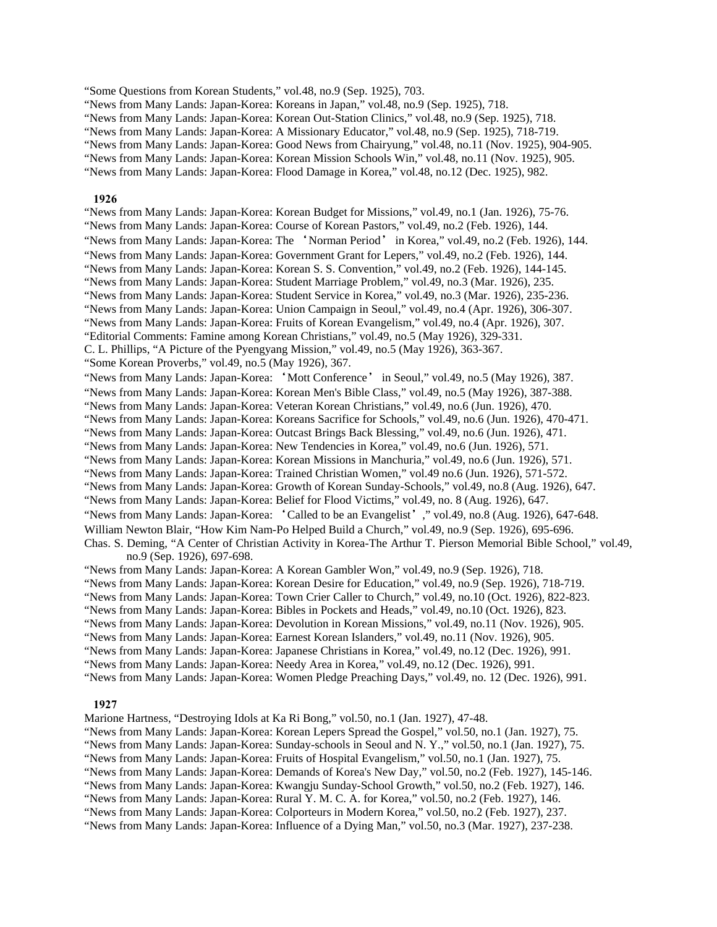"Some Questions from Korean Students," vol.48, no.9 (Sep. 1925), 703.

"News from Many Lands: Japan-Korea: Koreans in Japan," vol.48, no.9 (Sep. 1925), 718.

"News from Many Lands: Japan-Korea: Korean Out-Station Clinics," vol.48, no.9 (Sep. 1925), 718.

"News from Many Lands: Japan-Korea: A Missionary Educator," vol.48, no.9 (Sep. 1925), 718-719.

"News from Many Lands: Japan-Korea: Good News from Chairyung," vol.48, no.11 (Nov. 1925), 904-905.

"News from Many Lands: Japan-Korea: Korean Mission Schools Win," vol.48, no.11 (Nov. 1925), 905.

"News from Many Lands: Japan-Korea: Flood Damage in Korea," vol.48, no.12 (Dec. 1925), 982.

# **1926**

"News from Many Lands: Japan-Korea: Korean Budget for Missions," vol.49, no.1 (Jan. 1926), 75-76. "News from Many Lands: Japan-Korea: Course of Korean Pastors," vol.49, no.2 (Feb. 1926), 144. "News from Many Lands: Japan-Korea: The 'Norman Period' in Korea," vol.49, no.2 (Feb. 1926), 144. "News from Many Lands: Japan-Korea: Government Grant for Lepers," vol.49, no.2 (Feb. 1926), 144. "News from Many Lands: Japan-Korea: Korean S. S. Convention," vol.49, no.2 (Feb. 1926), 144-145. "News from Many Lands: Japan-Korea: Student Marriage Problem," vol.49, no.3 (Mar. 1926), 235. "News from Many Lands: Japan-Korea: Student Service in Korea," vol.49, no.3 (Mar. 1926), 235-236. "News from Many Lands: Japan-Korea: Union Campaign in Seoul," vol.49, no.4 (Apr. 1926), 306-307. "News from Many Lands: Japan-Korea: Fruits of Korean Evangelism," vol.49, no.4 (Apr. 1926), 307. "Editorial Comments: Famine among Korean Christians," vol.49, no.5 (May 1926), 329-331. C. L. Phillips, "A Picture of the Pyengyang Mission," vol.49, no.5 (May 1926), 363-367. "Some Korean Proverbs," vol.49, no.5 (May 1926), 367. "News from Many Lands: Japan-Korea: 'Mott Conference' in Seoul," vol.49, no.5 (May 1926), 387. "News from Many Lands: Japan-Korea: Korean Men's Bible Class," vol.49, no.5 (May 1926), 387-388. "News from Many Lands: Japan-Korea: Veteran Korean Christians," vol.49, no.6 (Jun. 1926), 470. "News from Many Lands: Japan-Korea: Koreans Sacrifice for Schools," vol.49, no.6 (Jun. 1926), 470-471. "News from Many Lands: Japan-Korea: Outcast Brings Back Blessing," vol.49, no.6 (Jun. 1926), 471. "News from Many Lands: Japan-Korea: New Tendencies in Korea," vol.49, no.6 (Jun. 1926), 571. "News from Many Lands: Japan-Korea: Korean Missions in Manchuria," vol.49, no.6 (Jun. 1926), 571. "News from Many Lands: Japan-Korea: Trained Christian Women," vol.49 no.6 (Jun. 1926), 571-572. "News from Many Lands: Japan-Korea: Growth of Korean Sunday-Schools," vol.49, no.8 (Aug. 1926), 647. "News from Many Lands: Japan-Korea: Belief for Flood Victims," vol.49, no. 8 (Aug. 1926), 647. "News from Many Lands: Japan-Korea: 'Called to be an Evangelist'," vol.49, no.8 (Aug. 1926), 647-648. William Newton Blair, "How Kim Nam-Po Helped Build a Church," vol.49, no.9 (Sep. 1926), 695-696. Chas. S. Deming, "A Center of Christian Activity in Korea-The Arthur T. Pierson Memorial Bible School," vol.49, no.9 (Sep. 1926), 697-698. "News from Many Lands: Japan-Korea: A Korean Gambler Won," vol.49, no.9 (Sep. 1926), 718. "News from Many Lands: Japan-Korea: Korean Desire for Education," vol.49, no.9 (Sep. 1926), 718-719. "News from Many Lands: Japan-Korea: Town Crier Caller to Church," vol.49, no.10 (Oct. 1926), 822-823. "News from Many Lands: Japan-Korea: Bibles in Pockets and Heads," vol.49, no.10 (Oct. 1926), 823.

- "News from Many Lands: Japan-Korea: Devolution in Korean Missions," vol.49, no.11 (Nov. 1926), 905.
- "News from Many Lands: Japan-Korea: Earnest Korean Islanders," vol.49, no.11 (Nov. 1926), 905.

"News from Many Lands: Japan-Korea: Japanese Christians in Korea," vol.49, no.12 (Dec. 1926), 991.

"News from Many Lands: Japan-Korea: Needy Area in Korea," vol.49, no.12 (Dec. 1926), 991.

"News from Many Lands: Japan-Korea: Women Pledge Preaching Days," vol.49, no. 12 (Dec. 1926), 991.

#### **1927**

Marione Hartness, "Destroying Idols at Ka Ri Bong," vol.50, no.1 (Jan. 1927), 47-48. "News from Many Lands: Japan-Korea: Korean Lepers Spread the Gospel," vol.50, no.1 (Jan. 1927), 75. "News from Many Lands: Japan-Korea: Sunday-schools in Seoul and N. Y.," vol.50, no.1 (Jan. 1927), 75. "News from Many Lands: Japan-Korea: Fruits of Hospital Evangelism," vol.50, no.1 (Jan. 1927), 75. "News from Many Lands: Japan-Korea: Demands of Korea's New Day," vol.50, no.2 (Feb. 1927), 145-146. "News from Many Lands: Japan-Korea: Kwangju Sunday-School Growth," vol.50, no.2 (Feb. 1927), 146. "News from Many Lands: Japan-Korea: Rural Y. M. C. A. for Korea," vol.50, no.2 (Feb. 1927), 146. "News from Many Lands: Japan-Korea: Colporteurs in Modern Korea," vol.50, no.2 (Feb. 1927), 237. "News from Many Lands: Japan-Korea: Influence of a Dying Man," vol.50, no.3 (Mar. 1927), 237-238.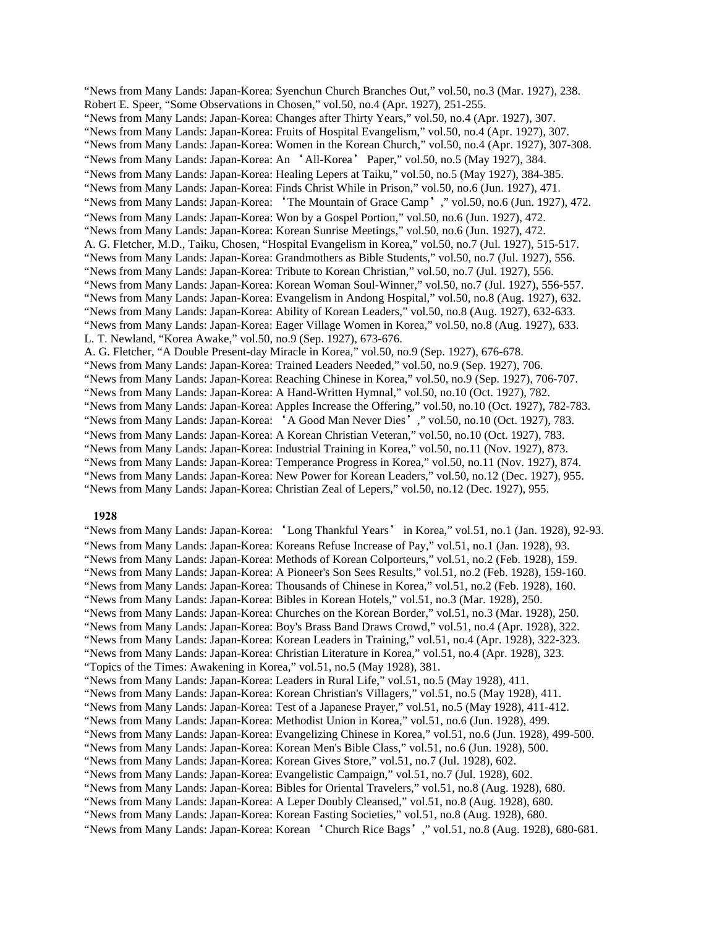"News from Many Lands: Japan-Korea: Syenchun Church Branches Out," vol.50, no.3 (Mar. 1927), 238. Robert E. Speer, "Some Observations in Chosen," vol.50, no.4 (Apr. 1927), 251-255. "News from Many Lands: Japan-Korea: Changes after Thirty Years," vol.50, no.4 (Apr. 1927), 307. "News from Many Lands: Japan-Korea: Fruits of Hospital Evangelism," vol.50, no.4 (Apr. 1927), 307. "News from Many Lands: Japan-Korea: Women in the Korean Church," vol.50, no.4 (Apr. 1927), 307-308. "News from Many Lands: Japan-Korea: An 'All-Korea' Paper," vol.50, no.5 (May 1927), 384. "News from Many Lands: Japan-Korea: Healing Lepers at Taiku," vol.50, no.5 (May 1927), 384-385. "News from Many Lands: Japan-Korea: Finds Christ While in Prison," vol.50, no.6 (Jun. 1927), 471. "News from Many Lands: Japan-Korea: 'The Mountain of Grace Camp'," vol.50, no.6 (Jun. 1927), 472. "News from Many Lands: Japan-Korea: Won by a Gospel Portion," vol.50, no.6 (Jun. 1927), 472. "News from Many Lands: Japan-Korea: Korean Sunrise Meetings," vol.50, no.6 (Jun. 1927), 472. A. G. Fletcher, M.D., Taiku, Chosen, "Hospital Evangelism in Korea," vol.50, no.7 (Jul. 1927), 515-517. "News from Many Lands: Japan-Korea: Grandmothers as Bible Students," vol.50, no.7 (Jul. 1927), 556. "News from Many Lands: Japan-Korea: Tribute to Korean Christian," vol.50, no.7 (Jul. 1927), 556. "News from Many Lands: Japan-Korea: Korean Woman Soul-Winner," vol.50, no.7 (Jul. 1927), 556-557. "News from Many Lands: Japan-Korea: Evangelism in Andong Hospital," vol.50, no.8 (Aug. 1927), 632. "News from Many Lands: Japan-Korea: Ability of Korean Leaders," vol.50, no.8 (Aug. 1927), 632-633. "News from Many Lands: Japan-Korea: Eager Village Women in Korea," vol.50, no.8 (Aug. 1927), 633. L. T. Newland, "Korea Awake," vol.50, no.9 (Sep. 1927), 673-676. A. G. Fletcher, "A Double Present-day Miracle in Korea," vol.50, no.9 (Sep. 1927), 676-678. "News from Many Lands: Japan-Korea: Trained Leaders Needed," vol.50, no.9 (Sep. 1927), 706. "News from Many Lands: Japan-Korea: Reaching Chinese in Korea," vol.50, no.9 (Sep. 1927), 706-707. "News from Many Lands: Japan-Korea: A Hand-Written Hymnal," vol.50, no.10 (Oct. 1927), 782. "News from Many Lands: Japan-Korea: Apples Increase the Offering," vol.50, no.10 (Oct. 1927), 782-783. "News from Many Lands: Japan-Korea: 'A Good Man Never Dies'," vol.50, no.10 (Oct. 1927), 783. "News from Many Lands: Japan-Korea: A Korean Christian Veteran," vol.50, no.10 (Oct. 1927), 783. "News from Many Lands: Japan-Korea: Industrial Training in Korea," vol.50, no.11 (Nov. 1927), 873. "News from Many Lands: Japan-Korea: Temperance Progress in Korea," vol.50, no.11 (Nov. 1927), 874. "News from Many Lands: Japan-Korea: New Power for Korean Leaders," vol.50, no.12 (Dec. 1927), 955. "News from Many Lands: Japan-Korea: Christian Zeal of Lepers," vol.50, no.12 (Dec. 1927), 955.

#### **1928**

"News from Many Lands: Japan-Korea: 'Long Thankful Years' in Korea," vol.51, no.1 (Jan. 1928), 92-93. "News from Many Lands: Japan-Korea: Koreans Refuse Increase of Pay," vol.51, no.1 (Jan. 1928), 93. "News from Many Lands: Japan-Korea: Methods of Korean Colporteurs," vol.51, no.2 (Feb. 1928), 159. "News from Many Lands: Japan-Korea: A Pioneer's Son Sees Results," vol.51, no.2 (Feb. 1928), 159-160. "News from Many Lands: Japan-Korea: Thousands of Chinese in Korea," vol.51, no.2 (Feb. 1928), 160. "News from Many Lands: Japan-Korea: Bibles in Korean Hotels," vol.51, no.3 (Mar. 1928), 250. "News from Many Lands: Japan-Korea: Churches on the Korean Border," vol.51, no.3 (Mar. 1928), 250. "News from Many Lands: Japan-Korea: Boy's Brass Band Draws Crowd," vol.51, no.4 (Apr. 1928), 322. "News from Many Lands: Japan-Korea: Korean Leaders in Training," vol.51, no.4 (Apr. 1928), 322-323. "News from Many Lands: Japan-Korea: Christian Literature in Korea," vol.51, no.4 (Apr. 1928), 323. "Topics of the Times: Awakening in Korea," vol.51, no.5 (May 1928), 381. "News from Many Lands: Japan-Korea: Leaders in Rural Life," vol.51, no.5 (May 1928), 411. "News from Many Lands: Japan-Korea: Korean Christian's Villagers," vol.51, no.5 (May 1928), 411. "News from Many Lands: Japan-Korea: Test of a Japanese Prayer," vol.51, no.5 (May 1928), 411-412. "News from Many Lands: Japan-Korea: Methodist Union in Korea," vol.51, no.6 (Jun. 1928), 499. "News from Many Lands: Japan-Korea: Evangelizing Chinese in Korea," vol.51, no.6 (Jun. 1928), 499-500. "News from Many Lands: Japan-Korea: Korean Men's Bible Class," vol.51, no.6 (Jun. 1928), 500. "News from Many Lands: Japan-Korea: Korean Gives Store," vol.51, no.7 (Jul. 1928), 602. "News from Many Lands: Japan-Korea: Evangelistic Campaign," vol.51, no.7 (Jul. 1928), 602. "News from Many Lands: Japan-Korea: Bibles for Oriental Travelers," vol.51, no.8 (Aug. 1928), 680. "News from Many Lands: Japan-Korea: A Leper Doubly Cleansed," vol.51, no.8 (Aug. 1928), 680. "News from Many Lands: Japan-Korea: Korean Fasting Societies," vol.51, no.8 (Aug. 1928), 680. "News from Many Lands: Japan-Korea: Korean 'Church Rice Bags'," vol.51, no.8 (Aug. 1928), 680-681.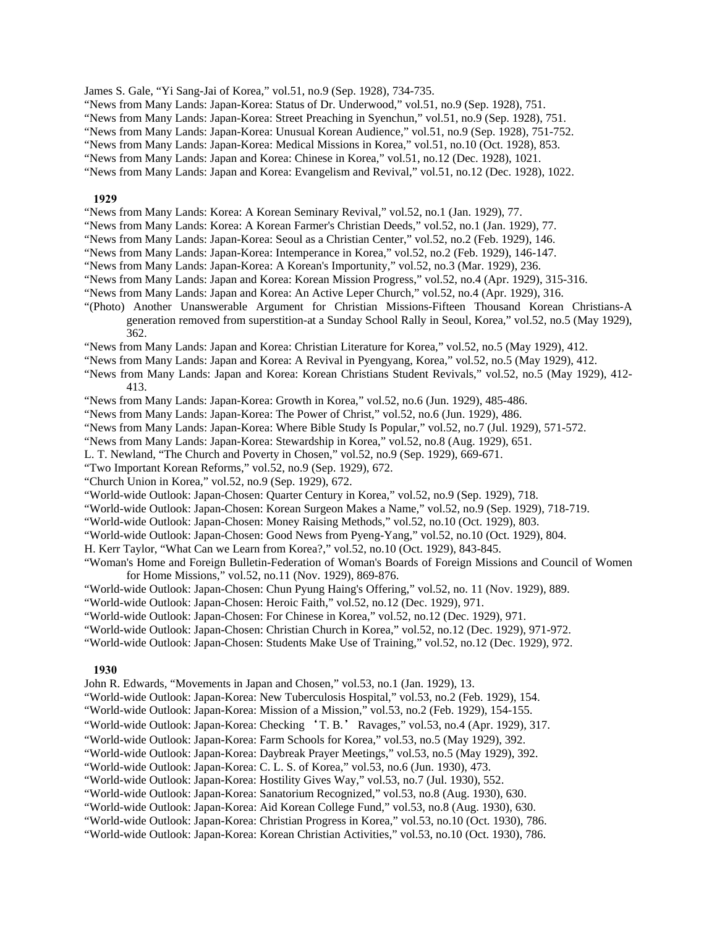James S. Gale, "Yi Sang-Jai of Korea," vol.51, no.9 (Sep. 1928), 734-735.

- "News from Many Lands: Japan-Korea: Status of Dr. Underwood," vol.51, no.9 (Sep. 1928), 751.
- "News from Many Lands: Japan-Korea: Street Preaching in Syenchun," vol.51, no.9 (Sep. 1928), 751.
- "News from Many Lands: Japan-Korea: Unusual Korean Audience," vol.51, no.9 (Sep. 1928), 751-752.
- "News from Many Lands: Japan-Korea: Medical Missions in Korea," vol.51, no.10 (Oct. 1928), 853.
- "News from Many Lands: Japan and Korea: Chinese in Korea," vol.51, no.12 (Dec. 1928), 1021.

"News from Many Lands: Japan and Korea: Evangelism and Revival," vol.51, no.12 (Dec. 1928), 1022.

### **1929**

"News from Many Lands: Korea: A Korean Seminary Revival," vol.52, no.1 (Jan. 1929), 77.

- "News from Many Lands: Korea: A Korean Farmer's Christian Deeds," vol.52, no.1 (Jan. 1929), 77.
- "News from Many Lands: Japan-Korea: Seoul as a Christian Center," vol.52, no.2 (Feb. 1929), 146.
- "News from Many Lands: Japan-Korea: Intemperance in Korea," vol.52, no.2 (Feb. 1929), 146-147.
- "News from Many Lands: Japan-Korea: A Korean's Importunity," vol.52, no.3 (Mar. 1929), 236.
- "News from Many Lands: Japan and Korea: Korean Mission Progress," vol.52, no.4 (Apr. 1929), 315-316.
- "News from Many Lands: Japan and Korea: An Active Leper Church," vol.52, no.4 (Apr. 1929), 316.
- "(Photo) Another Unanswerable Argument for Christian Missions-Fifteen Thousand Korean Christians-A generation removed from superstition-at a Sunday School Rally in Seoul, Korea," vol.52, no.5 (May 1929), 362.
- "News from Many Lands: Japan and Korea: Christian Literature for Korea," vol.52, no.5 (May 1929), 412.
- "News from Many Lands: Japan and Korea: A Revival in Pyengyang, Korea," vol.52, no.5 (May 1929), 412.
- "News from Many Lands: Japan and Korea: Korean Christians Student Revivals," vol.52, no.5 (May 1929), 412- 413.
- "News from Many Lands: Japan-Korea: Growth in Korea," vol.52, no.6 (Jun. 1929), 485-486.
- "News from Many Lands: Japan-Korea: The Power of Christ," vol.52, no.6 (Jun. 1929), 486.
- "News from Many Lands: Japan-Korea: Where Bible Study Is Popular," vol.52, no.7 (Jul. 1929), 571-572.
- "News from Many Lands: Japan-Korea: Stewardship in Korea," vol.52, no.8 (Aug. 1929), 651.
- L. T. Newland, "The Church and Poverty in Chosen," vol.52, no.9 (Sep. 1929), 669-671.
- "Two Important Korean Reforms," vol.52, no.9 (Sep. 1929), 672.
- "Church Union in Korea," vol.52, no.9 (Sep. 1929), 672.
- "World-wide Outlook: Japan-Chosen: Quarter Century in Korea," vol.52, no.9 (Sep. 1929), 718.
- "World-wide Outlook: Japan-Chosen: Korean Surgeon Makes a Name," vol.52, no.9 (Sep. 1929), 718-719.
- "World-wide Outlook: Japan-Chosen: Money Raising Methods," vol.52, no.10 (Oct. 1929), 803.
- "World-wide Outlook: Japan-Chosen: Good News from Pyeng-Yang," vol.52, no.10 (Oct. 1929), 804.
- H. Kerr Taylor, "What Can we Learn from Korea?," vol.52, no.10 (Oct. 1929), 843-845.
- "Woman's Home and Foreign Bulletin-Federation of Woman's Boards of Foreign Missions and Council of Women for Home Missions," vol.52, no.11 (Nov. 1929), 869-876.
- "World-wide Outlook: Japan-Chosen: Chun Pyung Haing's Offering," vol.52, no. 11 (Nov. 1929), 889.
- "World-wide Outlook: Japan-Chosen: Heroic Faith," vol.52, no.12 (Dec. 1929), 971.
- "World-wide Outlook: Japan-Chosen: For Chinese in Korea," vol.52, no.12 (Dec. 1929), 971.
- "World-wide Outlook: Japan-Chosen: Christian Church in Korea," vol.52, no.12 (Dec. 1929), 971-972.
- "World-wide Outlook: Japan-Chosen: Students Make Use of Training," vol.52, no.12 (Dec. 1929), 972.

- John R. Edwards, "Movements in Japan and Chosen," vol.53, no.1 (Jan. 1929), 13.
- "World-wide Outlook: Japan-Korea: New Tuberculosis Hospital," vol.53, no.2 (Feb. 1929), 154.
- "World-wide Outlook: Japan-Korea: Mission of a Mission," vol.53, no.2 (Feb. 1929), 154-155.
- "World-wide Outlook: Japan-Korea: Checking 'T. B.' Ravages," vol.53, no.4 (Apr. 1929), 317.
- "World-wide Outlook: Japan-Korea: Farm Schools for Korea," vol.53, no.5 (May 1929), 392.
- "World-wide Outlook: Japan-Korea: Daybreak Prayer Meetings," vol.53, no.5 (May 1929), 392.
- "World-wide Outlook: Japan-Korea: C. L. S. of Korea," vol.53, no.6 (Jun. 1930), 473.
- "World-wide Outlook: Japan-Korea: Hostility Gives Way," vol.53, no.7 (Jul. 1930), 552.
- "World-wide Outlook: Japan-Korea: Sanatorium Recognized," vol.53, no.8 (Aug. 1930), 630.
- "World-wide Outlook: Japan-Korea: Aid Korean College Fund," vol.53, no.8 (Aug. 1930), 630.
- "World-wide Outlook: Japan-Korea: Christian Progress in Korea," vol.53, no.10 (Oct. 1930), 786.
- "World-wide Outlook: Japan-Korea: Korean Christian Activities," vol.53, no.10 (Oct. 1930), 786.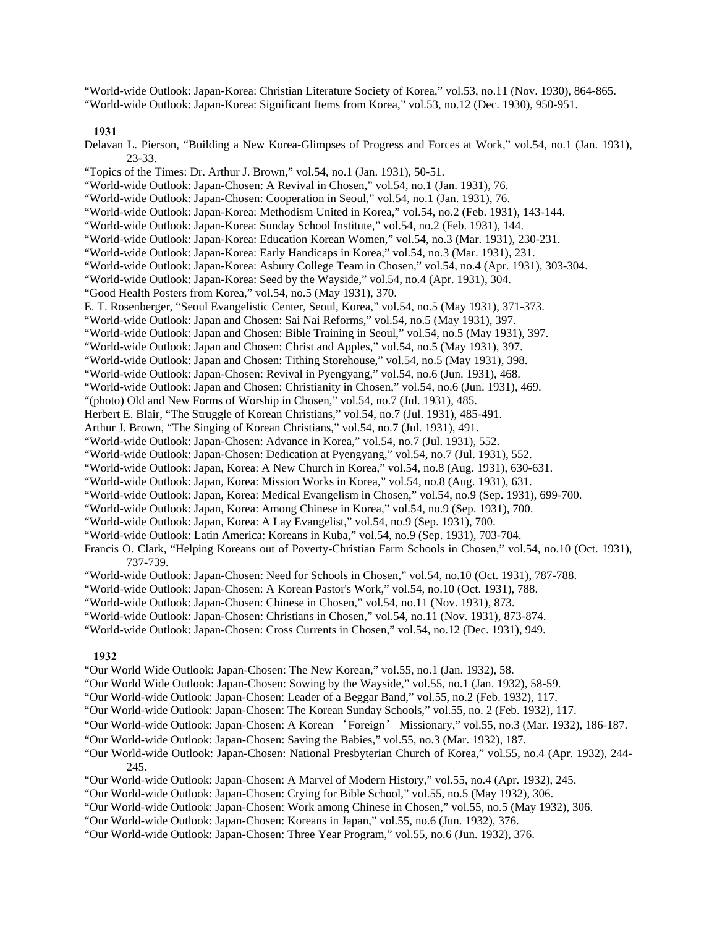"World-wide Outlook: Japan-Korea: Christian Literature Society of Korea," vol.53, no.11 (Nov. 1930), 864-865. "World-wide Outlook: Japan-Korea: Significant Items from Korea," vol.53, no.12 (Dec. 1930), 950-951.

#### **1931**

Delavan L. Pierson, "Building a New Korea-Glimpses of Progress and Forces at Work," vol.54, no.1 (Jan. 1931), 23-33. "Topics of the Times: Dr. Arthur J. Brown," vol.54, no.1 (Jan. 1931), 50-51. "World-wide Outlook: Japan-Chosen: A Revival in Chosen," vol.54, no.1 (Jan. 1931), 76. "World-wide Outlook: Japan-Chosen: Cooperation in Seoul," vol.54, no.1 (Jan. 1931), 76. "World-wide Outlook: Japan-Korea: Methodism United in Korea," vol.54, no.2 (Feb. 1931), 143-144. "World-wide Outlook: Japan-Korea: Sunday School Institute," vol.54, no.2 (Feb. 1931), 144. "World-wide Outlook: Japan-Korea: Education Korean Women," vol.54, no.3 (Mar. 1931), 230-231. "World-wide Outlook: Japan-Korea: Early Handicaps in Korea," vol.54, no.3 (Mar. 1931), 231. "World-wide Outlook: Japan-Korea: Asbury College Team in Chosen," vol.54, no.4 (Apr. 1931), 303-304. "World-wide Outlook: Japan-Korea: Seed by the Wayside," vol.54, no.4 (Apr. 1931), 304. "Good Health Posters from Korea," vol.54, no.5 (May 1931), 370. E. T. Rosenberger, "Seoul Evangelistic Center, Seoul, Korea," vol.54, no.5 (May 1931), 371-373. "World-wide Outlook: Japan and Chosen: Sai Nai Reforms," vol.54, no.5 (May 1931), 397. "World-wide Outlook: Japan and Chosen: Bible Training in Seoul," vol.54, no.5 (May 1931), 397. "World-wide Outlook: Japan and Chosen: Christ and Apples," vol.54, no.5 (May 1931), 397. "World-wide Outlook: Japan and Chosen: Tithing Storehouse," vol.54, no.5 (May 1931), 398. "World-wide Outlook: Japan-Chosen: Revival in Pyengyang," vol.54, no.6 (Jun. 1931), 468. "World-wide Outlook: Japan and Chosen: Christianity in Chosen," vol.54, no.6 (Jun. 1931), 469. "(photo) Old and New Forms of Worship in Chosen," vol.54, no.7 (Jul. 1931), 485. Herbert E. Blair, "The Struggle of Korean Christians," vol.54, no.7 (Jul. 1931), 485-491. Arthur J. Brown, "The Singing of Korean Christians," vol.54, no.7 (Jul. 1931), 491. "World-wide Outlook: Japan-Chosen: Advance in Korea," vol.54, no.7 (Jul. 1931), 552. "World-wide Outlook: Japan-Chosen: Dedication at Pyengyang," vol.54, no.7 (Jul. 1931), 552. "World-wide Outlook: Japan, Korea: A New Church in Korea," vol.54, no.8 (Aug. 1931), 630-631. "World-wide Outlook: Japan, Korea: Mission Works in Korea," vol.54, no.8 (Aug. 1931), 631. "World-wide Outlook: Japan, Korea: Medical Evangelism in Chosen," vol.54, no.9 (Sep. 1931), 699-700. "World-wide Outlook: Japan, Korea: Among Chinese in Korea," vol.54, no.9 (Sep. 1931), 700. "World-wide Outlook: Japan, Korea: A Lay Evangelist," vol.54, no.9 (Sep. 1931), 700. "World-wide Outlook: Latin America: Koreans in Kuba," vol.54, no.9 (Sep. 1931), 703-704. Francis O. Clark, "Helping Koreans out of Poverty-Christian Farm Schools in Chosen," vol.54, no.10 (Oct. 1931), 737-739. "World-wide Outlook: Japan-Chosen: Need for Schools in Chosen," vol.54, no.10 (Oct. 1931), 787-788. "World-wide Outlook: Japan-Chosen: A Korean Pastor's Work," vol.54, no.10 (Oct. 1931), 788.

"World-wide Outlook: Japan-Chosen: Chinese in Chosen," vol.54, no.11 (Nov. 1931), 873.

"World-wide Outlook: Japan-Chosen: Christians in Chosen," vol.54, no.11 (Nov. 1931), 873-874.

"World-wide Outlook: Japan-Chosen: Cross Currents in Chosen," vol.54, no.12 (Dec. 1931), 949.

#### **1932**

"Our World Wide Outlook: Japan-Chosen: The New Korean," vol.55, no.1 (Jan. 1932), 58.

"Our World Wide Outlook: Japan-Chosen: Sowing by the Wayside," vol.55, no.1 (Jan. 1932), 58-59.

"Our World-wide Outlook: Japan-Chosen: Leader of a Beggar Band," vol.55, no.2 (Feb. 1932), 117.

"Our World-wide Outlook: Japan-Chosen: The Korean Sunday Schools," vol.55, no. 2 (Feb. 1932), 117.

"Our World-wide Outlook: Japan-Chosen: A Korean 'Foreign' Missionary," vol.55, no.3 (Mar. 1932), 186-187.

"Our World-wide Outlook: Japan-Chosen: Saving the Babies," vol.55, no.3 (Mar. 1932), 187.

"Our World-wide Outlook: Japan-Chosen: National Presbyterian Church of Korea," vol.55, no.4 (Apr. 1932), 244- 245.

"Our World-wide Outlook: Japan-Chosen: A Marvel of Modern History," vol.55, no.4 (Apr. 1932), 245.

"Our World-wide Outlook: Japan-Chosen: Crying for Bible School," vol.55, no.5 (May 1932), 306.

"Our World-wide Outlook: Japan-Chosen: Work among Chinese in Chosen," vol.55, no.5 (May 1932), 306.

"Our World-wide Outlook: Japan-Chosen: Koreans in Japan," vol.55, no.6 (Jun. 1932), 376.

"Our World-wide Outlook: Japan-Chosen: Three Year Program," vol.55, no.6 (Jun. 1932), 376.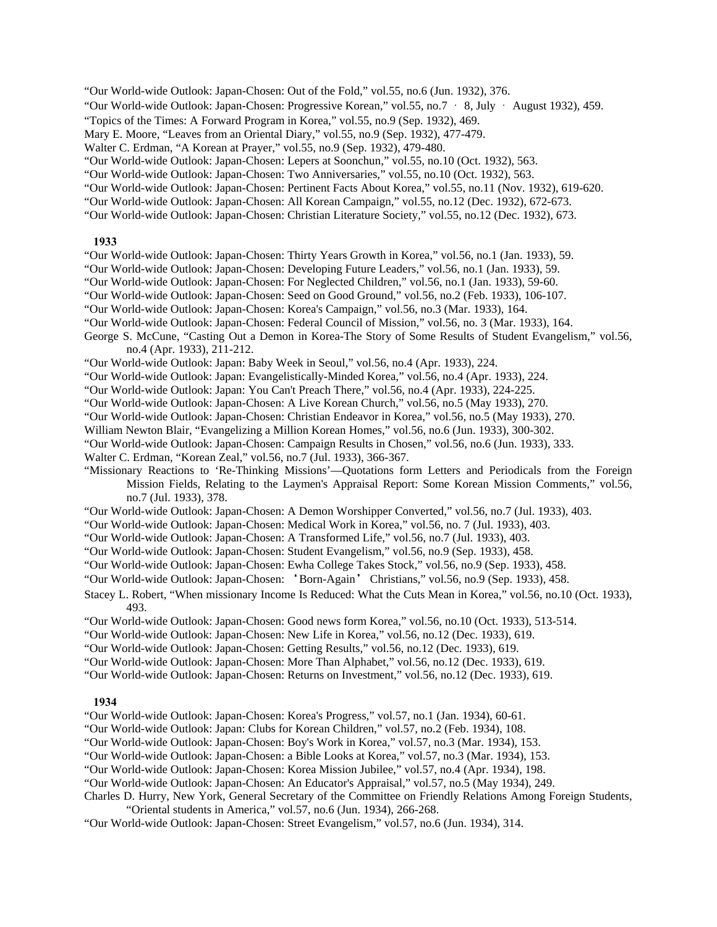"Our World-wide Outlook: Japan-Chosen: Out of the Fold," vol.55, no.6 (Jun. 1932), 376.

"Our World-wide Outlook: Japan-Chosen: Progressive Korean," vol.55, no.7 ㆍ 8, July ㆍ August 1932), 459.

"Topics of the Times: A Forward Program in Korea," vol.55, no.9 (Sep. 1932), 469.

Mary E. Moore, "Leaves from an Oriental Diary," vol.55, no.9 (Sep. 1932), 477-479.

Walter C. Erdman, "A Korean at Prayer," vol.55, no.9 (Sep. 1932), 479-480.

"Our World-wide Outlook: Japan-Chosen: Lepers at Soonchun," vol.55, no.10 (Oct. 1932), 563.

"Our World-wide Outlook: Japan-Chosen: Two Anniversaries," vol.55, no.10 (Oct. 1932), 563.

"Our World-wide Outlook: Japan-Chosen: Pertinent Facts About Korea," vol.55, no.11 (Nov. 1932), 619-620.

"Our World-wide Outlook: Japan-Chosen: All Korean Campaign," vol.55, no.12 (Dec. 1932), 672-673.

"Our World-wide Outlook: Japan-Chosen: Christian Literature Society," vol.55, no.12 (Dec. 1932), 673.

#### **1933**

"Our World-wide Outlook: Japan-Chosen: Thirty Years Growth in Korea," vol.56, no.1 (Jan. 1933), 59.

"Our World-wide Outlook: Japan-Chosen: Developing Future Leaders," vol.56, no.1 (Jan. 1933), 59.

"Our World-wide Outlook: Japan-Chosen: For Neglected Children," vol.56, no.1 (Jan. 1933), 59-60.

"Our World-wide Outlook: Japan-Chosen: Seed on Good Ground," vol.56, no.2 (Feb. 1933), 106-107.

"Our World-wide Outlook: Japan-Chosen: Korea's Campaign," vol.56, no.3 (Mar. 1933), 164.

"Our World-wide Outlook: Japan-Chosen: Federal Council of Mission," vol.56, no. 3 (Mar. 1933), 164.

George S. McCune, "Casting Out a Demon in Korea-The Story of Some Results of Student Evangelism," vol.56, no.4 (Apr. 1933), 211-212.

"Our World-wide Outlook: Japan: Baby Week in Seoul," vol.56, no.4 (Apr. 1933), 224.

"Our World-wide Outlook: Japan: Evangelistically-Minded Korea," vol.56, no.4 (Apr. 1933), 224.

"Our World-wide Outlook: Japan: You Can't Preach There," vol.56, no.4 (Apr. 1933), 224-225.

"Our World-wide Outlook: Japan-Chosen: A Live Korean Church," vol.56, no.5 (May 1933), 270.

"Our World-wide Outlook: Japan-Chosen: Christian Endeavor in Korea," vol.56, no.5 (May 1933), 270.

William Newton Blair, "Evangelizing a Million Korean Homes," vol.56, no.6 (Jun. 1933), 300-302.

"Our World-wide Outlook: Japan-Chosen: Campaign Results in Chosen," vol.56, no.6 (Jun. 1933), 333.

Walter C. Erdman, "Korean Zeal," vol.56, no.7 (Jul. 1933), 366-367.

"Missionary Reactions to 'Re-Thinking Missions'—Quotations form Letters and Periodicals from the Foreign Mission Fields, Relating to the Laymen's Appraisal Report: Some Korean Mission Comments," vol.56, no.7 (Jul. 1933), 378.

"Our World-wide Outlook: Japan-Chosen: A Demon Worshipper Converted," vol.56, no.7 (Jul. 1933), 403.

"Our World-wide Outlook: Japan-Chosen: Medical Work in Korea," vol.56, no. 7 (Jul. 1933), 403.

"Our World-wide Outlook: Japan-Chosen: A Transformed Life," vol.56, no.7 (Jul. 1933), 403.

"Our World-wide Outlook: Japan-Chosen: Student Evangelism," vol.56, no.9 (Sep. 1933), 458.

"Our World-wide Outlook: Japan-Chosen: Ewha College Takes Stock," vol.56, no.9 (Sep. 1933), 458.

"Our World-wide Outlook: Japan-Chosen: 'Born-Again' Christians," vol.56, no.9 (Sep. 1933), 458.

Stacey L. Robert, "When missionary Income Is Reduced: What the Cuts Mean in Korea," vol.56, no.10 (Oct. 1933), 493.

"Our World-wide Outlook: Japan-Chosen: Good news form Korea," vol.56, no.10 (Oct. 1933), 513-514.

"Our World-wide Outlook: Japan-Chosen: New Life in Korea," vol.56, no.12 (Dec. 1933), 619.

"Our World-wide Outlook: Japan-Chosen: Getting Results," vol.56, no.12 (Dec. 1933), 619.

"Our World-wide Outlook: Japan-Chosen: More Than Alphabet," vol.56, no.12 (Dec. 1933), 619.

"Our World-wide Outlook: Japan-Chosen: Returns on Investment," vol.56, no.12 (Dec. 1933), 619.

# **1934**

"Our World-wide Outlook: Japan-Chosen: Korea's Progress," vol.57, no.1 (Jan. 1934), 60-61.

"Our World-wide Outlook: Japan: Clubs for Korean Children," vol.57, no.2 (Feb. 1934), 108.

"Our World-wide Outlook: Japan-Chosen: Boy's Work in Korea," vol.57, no.3 (Mar. 1934), 153.

"Our World-wide Outlook: Japan-Chosen: a Bible Looks at Korea," vol.57, no.3 (Mar. 1934), 153.

"Our World-wide Outlook: Japan-Chosen: Korea Mission Jubilee," vol.57, no.4 (Apr. 1934), 198.

"Our World-wide Outlook: Japan-Chosen: An Educator's Appraisal," vol.57, no.5 (May 1934), 249.

Charles D. Hurry, New York, General Secretary of the Committee on Friendly Relations Among Foreign Students, "Oriental students in America," vol.57, no.6 (Jun. 1934), 266-268.

"Our World-wide Outlook: Japan-Chosen: Street Evangelism," vol.57, no.6 (Jun. 1934), 314.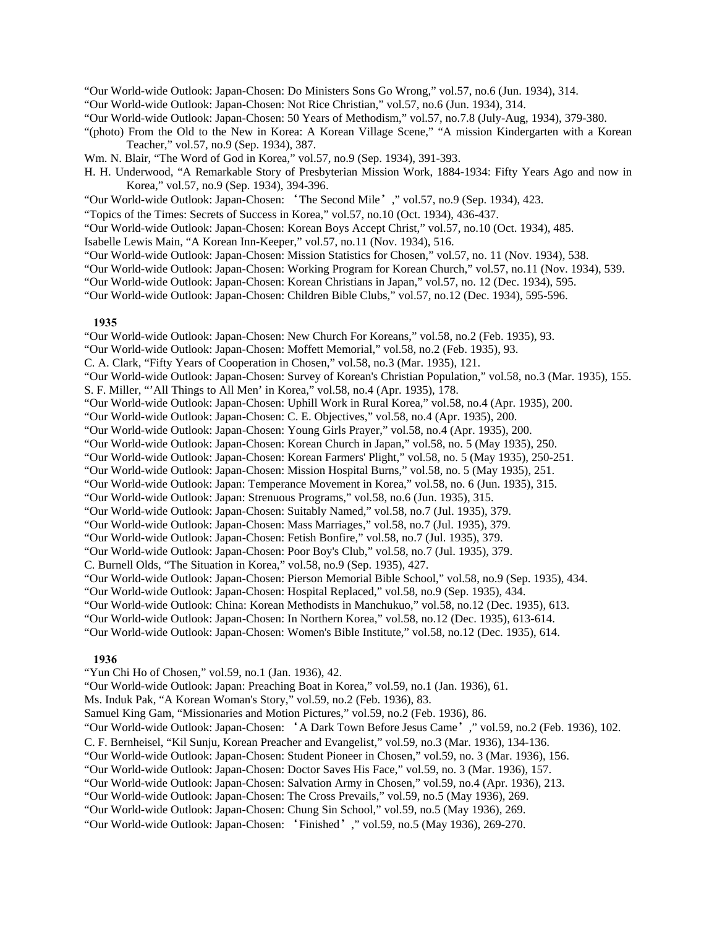"Our World-wide Outlook: Japan-Chosen: Do Ministers Sons Go Wrong," vol.57, no.6 (Jun. 1934), 314.

"Our World-wide Outlook: Japan-Chosen: Not Rice Christian," vol.57, no.6 (Jun. 1934), 314.

"Our World-wide Outlook: Japan-Chosen: 50 Years of Methodism," vol.57, no.7.8 (July-Aug, 1934), 379-380.

- "(photo) From the Old to the New in Korea: A Korean Village Scene," "A mission Kindergarten with a Korean Teacher," vol.57, no.9 (Sep. 1934), 387.
- Wm. N. Blair, "The Word of God in Korea," vol.57, no.9 (Sep. 1934), 391-393.
- H. H. Underwood, "A Remarkable Story of Presbyterian Mission Work, 1884-1934: Fifty Years Ago and now in Korea," vol.57, no.9 (Sep. 1934), 394-396.
- "Our World-wide Outlook: Japan-Chosen: 'The Second Mile'," vol.57, no.9 (Sep. 1934), 423.
- "Topics of the Times: Secrets of Success in Korea," vol.57, no.10 (Oct. 1934), 436-437.
- "Our World-wide Outlook: Japan-Chosen: Korean Boys Accept Christ," vol.57, no.10 (Oct. 1934), 485.
- Isabelle Lewis Main, "A Korean Inn-Keeper," vol.57, no.11 (Nov. 1934), 516.
- "Our World-wide Outlook: Japan-Chosen: Mission Statistics for Chosen," vol.57, no. 11 (Nov. 1934), 538.
- "Our World-wide Outlook: Japan-Chosen: Working Program for Korean Church," vol.57, no.11 (Nov. 1934), 539.
- "Our World-wide Outlook: Japan-Chosen: Korean Christians in Japan," vol.57, no. 12 (Dec. 1934), 595.

"Our World-wide Outlook: Japan-Chosen: Children Bible Clubs," vol.57, no.12 (Dec. 1934), 595-596.

# **1935**

- "Our World-wide Outlook: Japan-Chosen: New Church For Koreans," vol.58, no.2 (Feb. 1935), 93.
- "Our World-wide Outlook: Japan-Chosen: Moffett Memorial," vol.58, no.2 (Feb. 1935), 93.
- C. A. Clark, "Fifty Years of Cooperation in Chosen," vol.58, no.3 (Mar. 1935), 121.
- "Our World-wide Outlook: Japan-Chosen: Survey of Korean's Christian Population," vol.58, no.3 (Mar. 1935), 155.
- S. F. Miller, "'All Things to All Men' in Korea," vol.58, no.4 (Apr. 1935), 178.
- "Our World-wide Outlook: Japan-Chosen: Uphill Work in Rural Korea," vol.58, no.4 (Apr. 1935), 200.
- "Our World-wide Outlook: Japan-Chosen: C. E. Objectives," vol.58, no.4 (Apr. 1935), 200.
- "Our World-wide Outlook: Japan-Chosen: Young Girls Prayer," vol.58, no.4 (Apr. 1935), 200.
- "Our World-wide Outlook: Japan-Chosen: Korean Church in Japan," vol.58, no. 5 (May 1935), 250.
- "Our World-wide Outlook: Japan-Chosen: Korean Farmers' Plight," vol.58, no. 5 (May 1935), 250-251.
- "Our World-wide Outlook: Japan-Chosen: Mission Hospital Burns," vol.58, no. 5 (May 1935), 251.
- "Our World-wide Outlook: Japan: Temperance Movement in Korea," vol.58, no. 6 (Jun. 1935), 315.
- "Our World-wide Outlook: Japan: Strenuous Programs," vol.58, no.6 (Jun. 1935), 315.
- "Our World-wide Outlook: Japan-Chosen: Suitably Named," vol.58, no.7 (Jul. 1935), 379.
- "Our World-wide Outlook: Japan-Chosen: Mass Marriages," vol.58, no.7 (Jul. 1935), 379.
- "Our World-wide Outlook: Japan-Chosen: Fetish Bonfire," vol.58, no.7 (Jul. 1935), 379.
- "Our World-wide Outlook: Japan-Chosen: Poor Boy's Club," vol.58, no.7 (Jul. 1935), 379.
- C. Burnell Olds, "The Situation in Korea," vol.58, no.9 (Sep. 1935), 427.
- "Our World-wide Outlook: Japan-Chosen: Pierson Memorial Bible School," vol.58, no.9 (Sep. 1935), 434.
- "Our World-wide Outlook: Japan-Chosen: Hospital Replaced," vol.58, no.9 (Sep. 1935), 434.
- "Our World-wide Outlook: China: Korean Methodists in Manchukuo," vol.58, no.12 (Dec. 1935), 613.
- "Our World-wide Outlook: Japan-Chosen: In Northern Korea," vol.58, no.12 (Dec. 1935), 613-614.
- "Our World-wide Outlook: Japan-Chosen: Women's Bible Institute," vol.58, no.12 (Dec. 1935), 614.

#### **1936**

- "Yun Chi Ho of Chosen," vol.59, no.1 (Jan. 1936), 42.
- "Our World-wide Outlook: Japan: Preaching Boat in Korea," vol.59, no.1 (Jan. 1936), 61.
- Ms. Induk Pak, "A Korean Woman's Story," vol.59, no.2 (Feb. 1936), 83.
- Samuel King Gam, "Missionaries and Motion Pictures," vol.59, no.2 (Feb. 1936), 86.

"Our World-wide Outlook: Japan-Chosen: 'A Dark Town Before Jesus Came'," vol.59, no.2 (Feb. 1936), 102.

- C. F. Bernheisel, "Kil Sunju, Korean Preacher and Evangelist," vol.59, no.3 (Mar. 1936), 134-136.
- "Our World-wide Outlook: Japan-Chosen: Student Pioneer in Chosen," vol.59, no. 3 (Mar. 1936), 156.
- "Our World-wide Outlook: Japan-Chosen: Doctor Saves His Face," vol.59, no. 3 (Mar. 1936), 157.
- "Our World-wide Outlook: Japan-Chosen: Salvation Army in Chosen," vol.59, no.4 (Apr. 1936), 213.
- "Our World-wide Outlook: Japan-Chosen: The Cross Prevails," vol.59, no.5 (May 1936), 269.
- "Our World-wide Outlook: Japan-Chosen: Chung Sin School," vol.59, no.5 (May 1936), 269.
- "Our World-wide Outlook: Japan-Chosen: 'Finished'," vol.59, no.5 (May 1936), 269-270.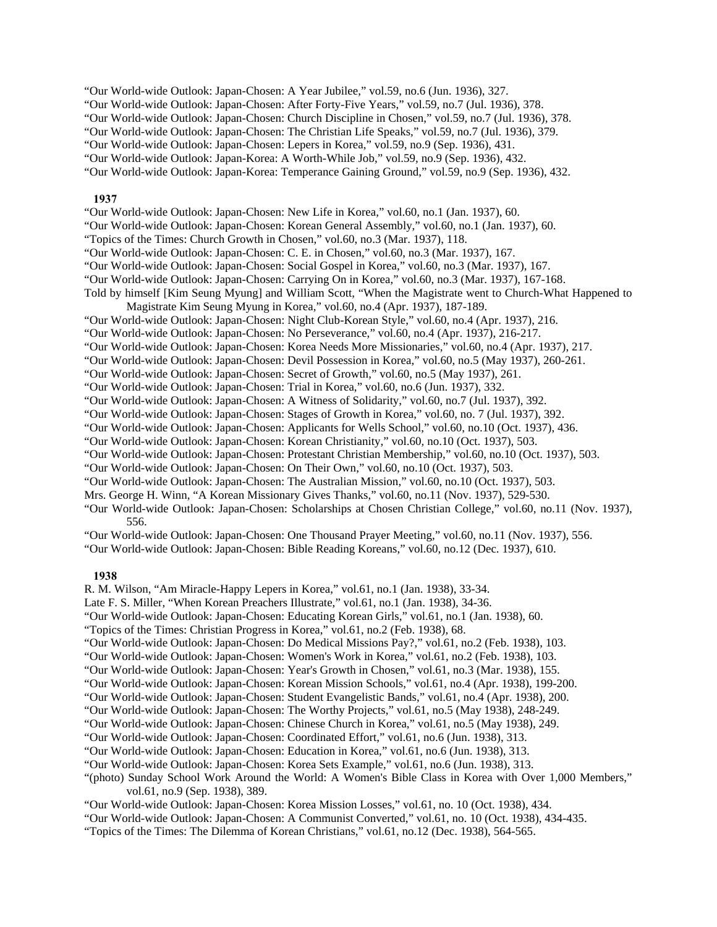"Our World-wide Outlook: Japan-Chosen: A Year Jubilee," vol.59, no.6 (Jun. 1936), 327.

"Our World-wide Outlook: Japan-Chosen: After Forty-Five Years," vol.59, no.7 (Jul. 1936), 378.

"Our World-wide Outlook: Japan-Chosen: Church Discipline in Chosen," vol.59, no.7 (Jul. 1936), 378.

"Our World-wide Outlook: Japan-Chosen: The Christian Life Speaks," vol.59, no.7 (Jul. 1936), 379.

"Our World-wide Outlook: Japan-Chosen: Lepers in Korea," vol.59, no.9 (Sep. 1936), 431.

"Our World-wide Outlook: Japan-Korea: A Worth-While Job," vol.59, no.9 (Sep. 1936), 432.

"Our World-wide Outlook: Japan-Korea: Temperance Gaining Ground," vol.59, no.9 (Sep. 1936), 432.

# **1937**

"Our World-wide Outlook: Japan-Chosen: New Life in Korea," vol.60, no.1 (Jan. 1937), 60.

"Our World-wide Outlook: Japan-Chosen: Korean General Assembly," vol.60, no.1 (Jan. 1937), 60.

"Topics of the Times: Church Growth in Chosen," vol.60, no.3 (Mar. 1937), 118.

"Our World-wide Outlook: Japan-Chosen: C. E. in Chosen," vol.60, no.3 (Mar. 1937), 167.

"Our World-wide Outlook: Japan-Chosen: Social Gospel in Korea," vol.60, no.3 (Mar. 1937), 167.

"Our World-wide Outlook: Japan-Chosen: Carrying On in Korea," vol.60, no.3 (Mar. 1937), 167-168.

Told by himself [Kim Seung Myung] and William Scott, "When the Magistrate went to Church-What Happened to Magistrate Kim Seung Myung in Korea," vol.60, no.4 (Apr. 1937), 187-189.

"Our World-wide Outlook: Japan-Chosen: Night Club-Korean Style," vol.60, no.4 (Apr. 1937), 216.

"Our World-wide Outlook: Japan-Chosen: No Perseverance," vol.60, no.4 (Apr. 1937), 216-217.

"Our World-wide Outlook: Japan-Chosen: Korea Needs More Missionaries," vol.60, no.4 (Apr. 1937), 217.

"Our World-wide Outlook: Japan-Chosen: Devil Possession in Korea," vol.60, no.5 (May 1937), 260-261.

- "Our World-wide Outlook: Japan-Chosen: Secret of Growth," vol.60, no.5 (May 1937), 261.
- "Our World-wide Outlook: Japan-Chosen: Trial in Korea," vol.60, no.6 (Jun. 1937), 332.
- "Our World-wide Outlook: Japan-Chosen: A Witness of Solidarity," vol.60, no.7 (Jul. 1937), 392.

"Our World-wide Outlook: Japan-Chosen: Stages of Growth in Korea," vol.60, no. 7 (Jul. 1937), 392.

"Our World-wide Outlook: Japan-Chosen: Applicants for Wells School," vol.60, no.10 (Oct. 1937), 436.

"Our World-wide Outlook: Japan-Chosen: Korean Christianity," vol.60, no.10 (Oct. 1937), 503.

"Our World-wide Outlook: Japan-Chosen: Protestant Christian Membership," vol.60, no.10 (Oct. 1937), 503.

"Our World-wide Outlook: Japan-Chosen: On Their Own," vol.60, no.10 (Oct. 1937), 503.

"Our World-wide Outlook: Japan-Chosen: The Australian Mission," vol.60, no.10 (Oct. 1937), 503.

Mrs. George H. Winn, "A Korean Missionary Gives Thanks," vol.60, no.11 (Nov. 1937), 529-530.

"Our World-wide Outlook: Japan-Chosen: Scholarships at Chosen Christian College," vol.60, no.11 (Nov. 1937), 556.

"Our World-wide Outlook: Japan-Chosen: One Thousand Prayer Meeting," vol.60, no.11 (Nov. 1937), 556.

"Our World-wide Outlook: Japan-Chosen: Bible Reading Koreans," vol.60, no.12 (Dec. 1937), 610.

# **1938**

R. M. Wilson, "Am Miracle-Happy Lepers in Korea," vol.61, no.1 (Jan. 1938), 33-34.

- Late F. S. Miller, "When Korean Preachers Illustrate," vol.61, no.1 (Jan. 1938), 34-36.
- "Our World-wide Outlook: Japan-Chosen: Educating Korean Girls," vol.61, no.1 (Jan. 1938), 60.

"Topics of the Times: Christian Progress in Korea," vol.61, no.2 (Feb. 1938), 68.

- "Our World-wide Outlook: Japan-Chosen: Do Medical Missions Pay?," vol.61, no.2 (Feb. 1938), 103.
- "Our World-wide Outlook: Japan-Chosen: Women's Work in Korea," vol.61, no.2 (Feb. 1938), 103.

"Our World-wide Outlook: Japan-Chosen: Year's Growth in Chosen," vol.61, no.3 (Mar. 1938), 155.

"Our World-wide Outlook: Japan-Chosen: Korean Mission Schools," vol.61, no.4 (Apr. 1938), 199-200.

"Our World-wide Outlook: Japan-Chosen: Student Evangelistic Bands," vol.61, no.4 (Apr. 1938), 200.

"Our World-wide Outlook: Japan-Chosen: The Worthy Projects," vol.61, no.5 (May 1938), 248-249.

"Our World-wide Outlook: Japan-Chosen: Chinese Church in Korea," vol.61, no.5 (May 1938), 249.

"Our World-wide Outlook: Japan-Chosen: Coordinated Effort," vol.61, no.6 (Jun. 1938), 313.

"Our World-wide Outlook: Japan-Chosen: Education in Korea," vol.61, no.6 (Jun. 1938), 313.

"Our World-wide Outlook: Japan-Chosen: Korea Sets Example," vol.61, no.6 (Jun. 1938), 313.

"(photo) Sunday School Work Around the World: A Women's Bible Class in Korea with Over 1,000 Members," vol.61, no.9 (Sep. 1938), 389.

"Our World-wide Outlook: Japan-Chosen: Korea Mission Losses," vol.61, no. 10 (Oct. 1938), 434.

- "Our World-wide Outlook: Japan-Chosen: A Communist Converted," vol.61, no. 10 (Oct. 1938), 434-435.
- "Topics of the Times: The Dilemma of Korean Christians," vol.61, no.12 (Dec. 1938), 564-565.